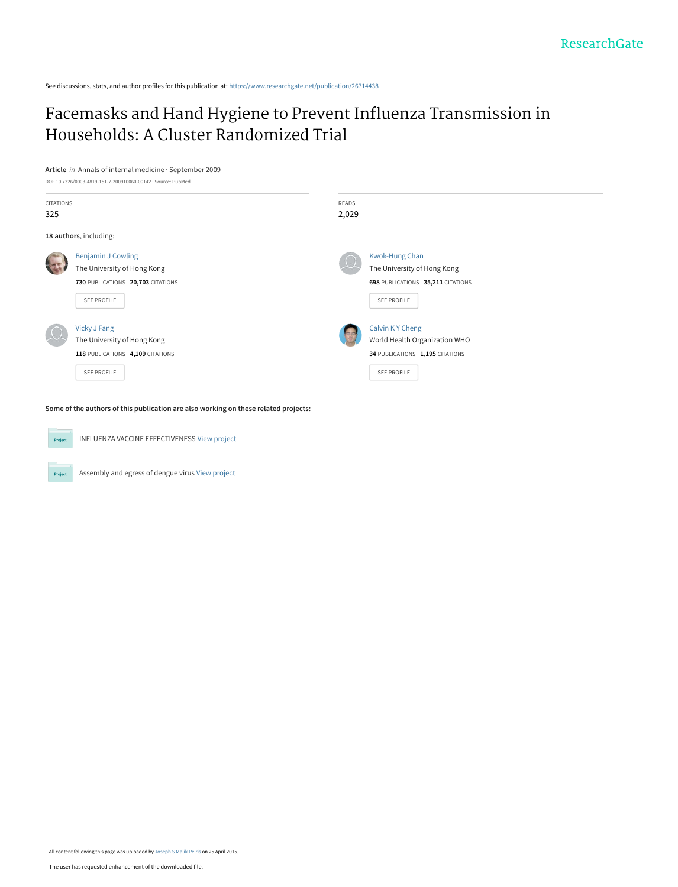See discussions, stats, and author profiles for this publication at: [https://www.researchgate.net/publication/26714438](https://www.researchgate.net/publication/26714438_Facemasks_and_Hand_Hygiene_to_Prevent_Influenza_Transmission_in_Households_A_Cluster_Randomized_Trial?enrichId=rgreq-ed4108560149c6405c9c7ff94444072f-XXX&enrichSource=Y292ZXJQYWdlOzI2NzE0NDM4O0FTOjIyMjAwMDM0Njg2NTY2NkAxNDI5OTQwNDE1NjMx&el=1_x_2&_esc=publicationCoverPdf)

# [Facemasks and Hand Hygiene to Prevent Influenza Transmission in](https://www.researchgate.net/publication/26714438_Facemasks_and_Hand_Hygiene_to_Prevent_Influenza_Transmission_in_Households_A_Cluster_Randomized_Trial?enrichId=rgreq-ed4108560149c6405c9c7ff94444072f-XXX&enrichSource=Y292ZXJQYWdlOzI2NzE0NDM4O0FTOjIyMjAwMDM0Njg2NTY2NkAxNDI5OTQwNDE1NjMx&el=1_x_3&_esc=publicationCoverPdf) Households: A Cluster Randomized Trial

**Article** in Annals of internal medicine · September 2009 DOI: 10.7326/0003-4819-151-7-200910060-00142 · Source: PubMed

| CITATIONS |                                   | <b>READS</b> |                                   |
|-----------|-----------------------------------|--------------|-----------------------------------|
| 325       |                                   | 2,029        |                                   |
|           | 18 authors, including:            |              |                                   |
|           | <b>Benjamin J Cowling</b>         |              | Kwok-Hung Chan                    |
|           | The University of Hong Kong       |              | The University of Hong Kong       |
|           | 730 PUBLICATIONS 20,703 CITATIONS |              | 698 PUBLICATIONS 35,211 CITATIONS |
|           | <b>SEE PROFILE</b>                |              | <b>SEE PROFILE</b>                |
|           | <b>Vicky J Fang</b>               |              | Calvin KY Cheng                   |
|           | The University of Hong Kong       |              | World Health Organization WHO     |
|           | 118 PUBLICATIONS 4,109 CITATIONS  |              | 34 PUBLICATIONS 1,195 CITATIONS   |
|           | SEE PROFILE                       |              | <b>SEE PROFILE</b>                |
|           |                                   |              |                                   |

**Some of the authors of this publication are also working on these related projects:**

Proj

INFLUENZA VACCINE EFFECTIVENESS [View project](https://www.researchgate.net/project/INFLUENZA-VACCINE-EFFECTIVENESS?enrichId=rgreq-ed4108560149c6405c9c7ff94444072f-XXX&enrichSource=Y292ZXJQYWdlOzI2NzE0NDM4O0FTOjIyMjAwMDM0Njg2NTY2NkAxNDI5OTQwNDE1NjMx&el=1_x_9&_esc=publicationCoverPdf)

Assembly and egress of dengue virus [View project](https://www.researchgate.net/project/Assembly-and-egress-of-dengue-virus?enrichId=rgreq-ed4108560149c6405c9c7ff94444072f-XXX&enrichSource=Y292ZXJQYWdlOzI2NzE0NDM4O0FTOjIyMjAwMDM0Njg2NTY2NkAxNDI5OTQwNDE1NjMx&el=1_x_9&_esc=publicationCoverPdf)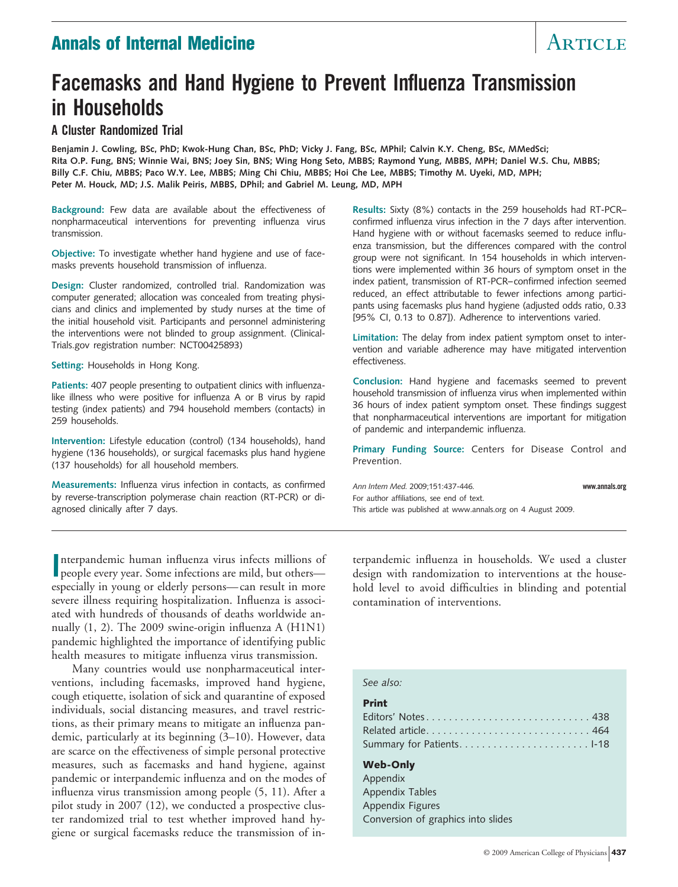# **Annals of Internal Medicine** Annal ARTICLE

# **Facemasks and Hand Hygiene to Prevent Influenza Transmission in Households**

## **A Cluster Randomized Trial**

**Benjamin J. Cowling, BSc, PhD; Kwok-Hung Chan, BSc, PhD; Vicky J. Fang, BSc, MPhil; Calvin K.Y. Cheng, BSc, MMedSci; Rita O.P. Fung, BNS; Winnie Wai, BNS; Joey Sin, BNS; Wing Hong Seto, MBBS; Raymond Yung, MBBS, MPH; Daniel W.S. Chu, MBBS; Billy C.F. Chiu, MBBS; Paco W.Y. Lee, MBBS; Ming Chi Chiu, MBBS; Hoi Che Lee, MBBS; Timothy M. Uyeki, MD, MPH; Peter M. Houck, MD; J.S. Malik Peiris, MBBS, DPhil; and Gabriel M. Leung, MD, MPH**

**Background:** Few data are available about the effectiveness of nonpharmaceutical interventions for preventing influenza virus transmission.

**Objective:** To investigate whether hand hygiene and use of facemasks prevents household transmission of influenza.

**Design:** Cluster randomized, controlled trial. Randomization was computer generated; allocation was concealed from treating physicians and clinics and implemented by study nurses at the time of the initial household visit. Participants and personnel administering the interventions were not blinded to group assignment. (Clinical-Trials.gov registration number: NCT00425893)

**Setting:** Households in Hong Kong.

**Patients:** 407 people presenting to outpatient clinics with influenzalike illness who were positive for influenza A or B virus by rapid testing (index patients) and 794 household members (contacts) in 259 households.

**Intervention:** Lifestyle education (control) (134 households), hand hygiene (136 households), or surgical facemasks plus hand hygiene (137 households) for all household members.

**Measurements:** Influenza virus infection in contacts, as confirmed by reverse-transcription polymerase chain reaction (RT-PCR) or diagnosed clinically after 7 days.

**Results:** Sixty (8%) contacts in the 259 households had RT-PCR– confirmed influenza virus infection in the 7 days after intervention. Hand hygiene with or without facemasks seemed to reduce influenza transmission, but the differences compared with the control group were not significant. In 154 households in which interventions were implemented within 36 hours of symptom onset in the index patient, transmission of RT-PCR–confirmed infection seemed reduced, an effect attributable to fewer infections among participants using facemasks plus hand hygiene (adjusted odds ratio, 0.33 [95% CI, 0.13 to 0.87]). Adherence to interventions varied.

**Limitation:** The delay from index patient symptom onset to intervention and variable adherence may have mitigated intervention effectiveness.

**Conclusion:** Hand hygiene and facemasks seemed to prevent household transmission of influenza virus when implemented within 36 hours of index patient symptom onset. These findings suggest that nonpharmaceutical interventions are important for mitigation of pandemic and interpandemic influenza.

**Primary Funding Source:** Centers for Disease Control and Prevention.

*Ann Intern Med.* 2009;151:437-446. **www.annals.org** For author affiliations, see end of text. This article was published at www.annals.org on 4 August 2009.

**I** nterpandemic human influenza virus infects millions of people every year. Some infections are mild, but others nterpandemic human influenza virus infects millions of especially in young or elderly persons— can result in more severe illness requiring hospitalization. Influenza is associated with hundreds of thousands of deaths worldwide annually (1, 2). The 2009 swine-origin influenza A (H1N1) pandemic highlighted the importance of identifying public health measures to mitigate influenza virus transmission.

Many countries would use nonpharmaceutical interventions, including facemasks, improved hand hygiene, cough etiquette, isolation of sick and quarantine of exposed individuals, social distancing measures, and travel restrictions, as their primary means to mitigate an influenza pandemic, particularly at its beginning (3–10). However, data are scarce on the effectiveness of simple personal protective measures, such as facemasks and hand hygiene, against pandemic or interpandemic influenza and on the modes of influenza virus transmission among people (5, 11). After a pilot study in 2007 (12), we conducted a prospective cluster randomized trial to test whether improved hand hygiene or surgical facemasks reduce the transmission of interpandemic influenza in households. We used a cluster design with randomization to interventions at the household level to avoid difficulties in blinding and potential contamination of interventions.

#### *See also:*

## **Print**

| Editors' Notes 438  |
|---------------------|
| Related article 464 |
|                     |

#### **Web-Only**

Appendix Appendix Tables Appendix Figures Conversion of graphics into slides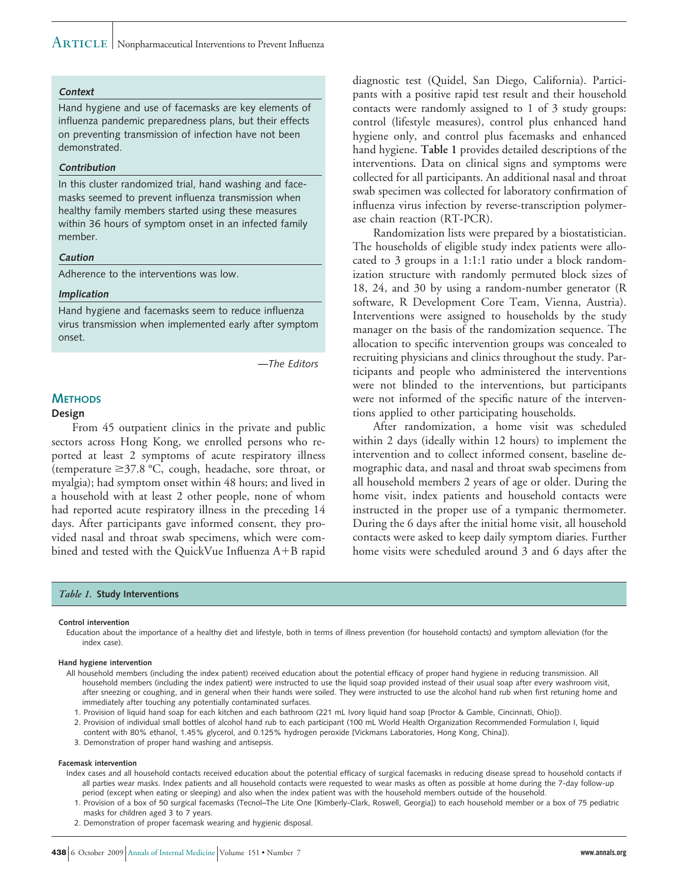## ARTICLE | Nonpharmaceutical Interventions to Prevent Influenza

#### **Context**

Hand hygiene and use of facemasks are key elements of influenza pandemic preparedness plans, but their effects on preventing transmission of infection have not been demonstrated.

#### **Contribution**

In this cluster randomized trial, hand washing and facemasks seemed to prevent influenza transmission when healthy family members started using these measures within 36 hours of symptom onset in an infected family member.

#### **Caution**

Adherence to the interventions was low.

#### **Implication**

Hand hygiene and facemasks seem to reduce influenza virus transmission when implemented early after symptom onset.

*—The Editors*

## **METHODS**

#### **Design**

From 45 outpatient clinics in the private and public sectors across Hong Kong, we enrolled persons who reported at least 2 symptoms of acute respiratory illness (temperature  $\geq$ 37.8 °C, cough, headache, sore throat, or myalgia); had symptom onset within 48 hours; and lived in a household with at least 2 other people, none of whom had reported acute respiratory illness in the preceding 14 days. After participants gave informed consent, they provided nasal and throat swab specimens, which were combined and tested with the QuickVue Influenza  $A+B$  rapid

#### *Table 1.* **Study Interventions**

#### **Control intervention**

Education about the importance of a healthy diet and lifestyle, both in terms of illness prevention (for household contacts) and symptom alleviation (for the index case).

#### **Hand hygiene intervention**

- All household members (including the index patient) received education about the potential efficacy of proper hand hygiene in reducing transmission. All household members (including the index patient) were instructed to use the liquid soap provided instead of their usual soap after every washroom visit, after sneezing or coughing, and in general when their hands were soiled. They were instructed to use the alcohol hand rub when first retuning home and immediately after touching any potentially contaminated surfaces.
- 1. Provision of liquid hand soap for each kitchen and each bathroom (221 mL Ivory liquid hand soap [Proctor & Gamble, Cincinnati, Ohio]).
- 2. Provision of individual small bottles of alcohol hand rub to each participant (100 mL World Health Organization Recommended Formulation I, liquid content with 80% ethanol, 1.45% glycerol, and 0.125% hydrogen peroxide [Vickmans Laboratories, Hong Kong, China]).
- 3. Demonstration of proper hand washing and antisepsis.

#### **Facemask intervention**

- Index cases and all household contacts received education about the potential efficacy of surgical facemasks in reducing disease spread to household contacts if all parties wear masks. Index patients and all household contacts were requested to wear masks as often as possible at home during the 7-day follow-up period (except when eating or sleeping) and also when the index patient was with the household members outside of the household.
- 1. Provision of a box of 50 surgical facemasks (Tecnol–The Lite One [Kimberly-Clark, Roswell, Georgia]) to each household member or a box of 75 pediatric masks for children aged 3 to 7 years.
- 2. Demonstration of proper facemask wearing and hygienic disposal.

diagnostic test (Quidel, San Diego, California). Participants with a positive rapid test result and their household contacts were randomly assigned to 1 of 3 study groups: control (lifestyle measures), control plus enhanced hand hygiene only, and control plus facemasks and enhanced hand hygiene. **Table 1** provides detailed descriptions of the interventions. Data on clinical signs and symptoms were collected for all participants. An additional nasal and throat swab specimen was collected for laboratory confirmation of influenza virus infection by reverse-transcription polymerase chain reaction (RT-PCR).

Randomization lists were prepared by a biostatistician. The households of eligible study index patients were allocated to 3 groups in a 1:1:1 ratio under a block randomization structure with randomly permuted block sizes of 18, 24, and 30 by using a random-number generator (R software, R Development Core Team, Vienna, Austria). Interventions were assigned to households by the study manager on the basis of the randomization sequence. The allocation to specific intervention groups was concealed to recruiting physicians and clinics throughout the study. Participants and people who administered the interventions were not blinded to the interventions, but participants were not informed of the specific nature of the interventions applied to other participating households.

After randomization, a home visit was scheduled within 2 days (ideally within 12 hours) to implement the intervention and to collect informed consent, baseline demographic data, and nasal and throat swab specimens from all household members 2 years of age or older. During the home visit, index patients and household contacts were instructed in the proper use of a tympanic thermometer. During the 6 days after the initial home visit, all household contacts were asked to keep daily symptom diaries. Further home visits were scheduled around 3 and 6 days after the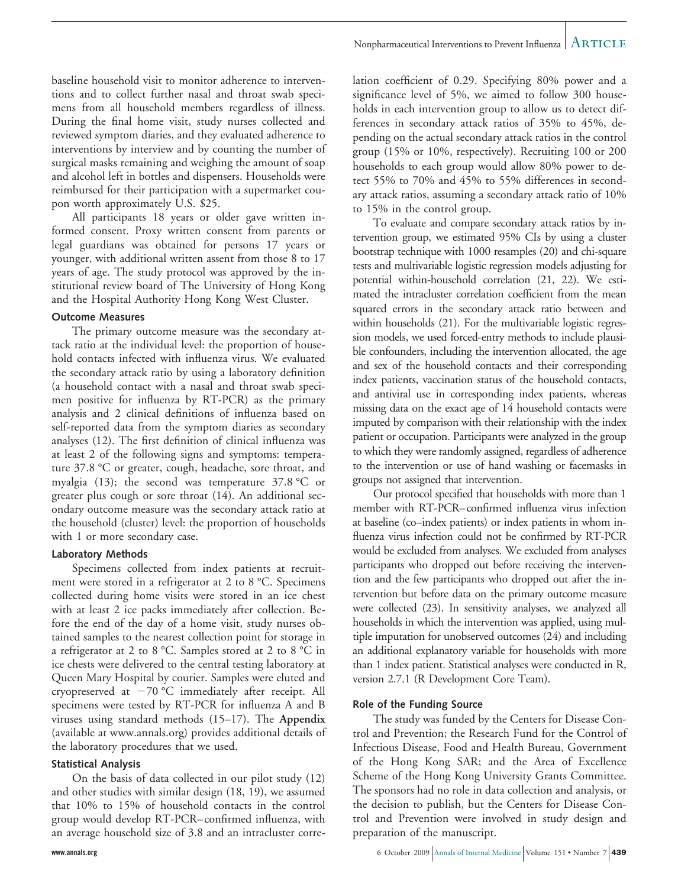baseline household visit to monitor adherence to interventions and to collect further nasal and throat swab specimens from all household members regardless of illness. During the final home visit, study nurses collected and reviewed symptom diaries, and they evaluated adherence to interventions by interview and by counting the number of surgical masks remaining and weighing the amount of soap and alcohol left in bottles and dispensers. Households were reimbursed for their participation with a supermarket coupon worth approximately U.S. \$25.

All participants 18 years or older gave written informed consent. Proxy written consent from parents or legal guardians was obtained for persons 17 years or younger, with additional written assent from those 8 to 17 years of age. The study protocol was approved by the institutional review board of The University of Hong Kong and the Hospital Authority Hong Kong West Cluster.

#### **Outcome Measures**

The primary outcome measure was the secondary attack ratio at the individual level: the proportion of household contacts infected with influenza virus. We evaluated the secondary attack ratio by using a laboratory definition (a household contact with a nasal and throat swab specimen positive for influenza by RT-PCR) as the primary analysis and 2 clinical definitions of influenza based on self-reported data from the symptom diaries as secondary analyses (12). The first definition of clinical influenza was at least 2 of the following signs and symptoms: temperature 37.8 °C or greater, cough, headache, sore throat, and myalgia (13); the second was temperature  $37.8 \text{ °C}$  or greater plus cough or sore throat (14). An additional secondary outcome measure was the secondary attack ratio at the household (cluster) level: the proportion of households with 1 or more secondary case.

#### **Laboratory Methods**

Specimens collected from index patients at recruitment were stored in a refrigerator at 2 to 8 °C. Specimens collected during home visits were stored in an ice chest with at least 2 ice packs immediately after collection. Before the end of the day of a home visit, study nurses obtained samples to the nearest collection point for storage in a refrigerator at 2 to 8 °C. Samples stored at 2 to 8 °C in ice chests were delivered to the central testing laboratory at Queen Mary Hospital by courier. Samples were eluted and cryopreserved at  $-70$  °C immediately after receipt. All specimens were tested by RT-PCR for influenza A and B viruses using standard methods (15–17). The **Appendix** (available at www.annals.org) provides additional details of the laboratory procedures that we used.

#### **Statistical Analysis**

On the basis of data collected in our pilot study (12) and other studies with similar design (18, 19), we assumed that 10% to 15% of household contacts in the control group would develop RT-PCR– confirmed influenza, with an average household size of 3.8 and an intracluster correlation coefficient of 0.29. Specifying 80% power and a significance level of 5%, we aimed to follow 300 households in each intervention group to allow us to detect differences in secondary attack ratios of 35% to 45%, depending on the actual secondary attack ratios in the control group (15% or 10%, respectively). Recruiting 100 or 200 households to each group would allow 80% power to detect 55% to 70% and 45% to 55% differences in secondary attack ratios, assuming a secondary attack ratio of 10% to 15% in the control group.

To evaluate and compare secondary attack ratios by intervention group, we estimated 95% CIs by using a cluster bootstrap technique with 1000 resamples (20) and chi-square tests and multivariable logistic regression models adjusting for potential within-household correlation (21, 22). We estimated the intracluster correlation coefficient from the mean squared errors in the secondary attack ratio between and within households (21). For the multivariable logistic regression models, we used forced-entry methods to include plausible confounders, including the intervention allocated, the age and sex of the household contacts and their corresponding index patients, vaccination status of the household contacts, and antiviral use in corresponding index patients, whereas missing data on the exact age of 14 household contacts were imputed by comparison with their relationship with the index patient or occupation. Participants were analyzed in the group to which they were randomly assigned, regardless of adherence to the intervention or use of hand washing or facemasks in groups not assigned that intervention.

Our protocol specified that households with more than 1 member with RT-PCR– confirmed influenza virus infection at baseline (co–index patients) or index patients in whom influenza virus infection could not be confirmed by RT-PCR would be excluded from analyses. We excluded from analyses participants who dropped out before receiving the intervention and the few participants who dropped out after the intervention but before data on the primary outcome measure were collected (23). In sensitivity analyses, we analyzed all households in which the intervention was applied, using multiple imputation for unobserved outcomes (24) and including an additional explanatory variable for households with more than 1 index patient. Statistical analyses were conducted in R, version 2.7.1 (R Development Core Team).

## **Role of the Funding Source**

The study was funded by the Centers for Disease Control and Prevention; the Research Fund for the Control of Infectious Disease, Food and Health Bureau, Government of the Hong Kong SAR; and the Area of Excellence Scheme of the Hong Kong University Grants Committee. The sponsors had no role in data collection and analysis, or the decision to publish, but the Centers for Disease Control and Prevention were involved in study design and preparation of the manuscript.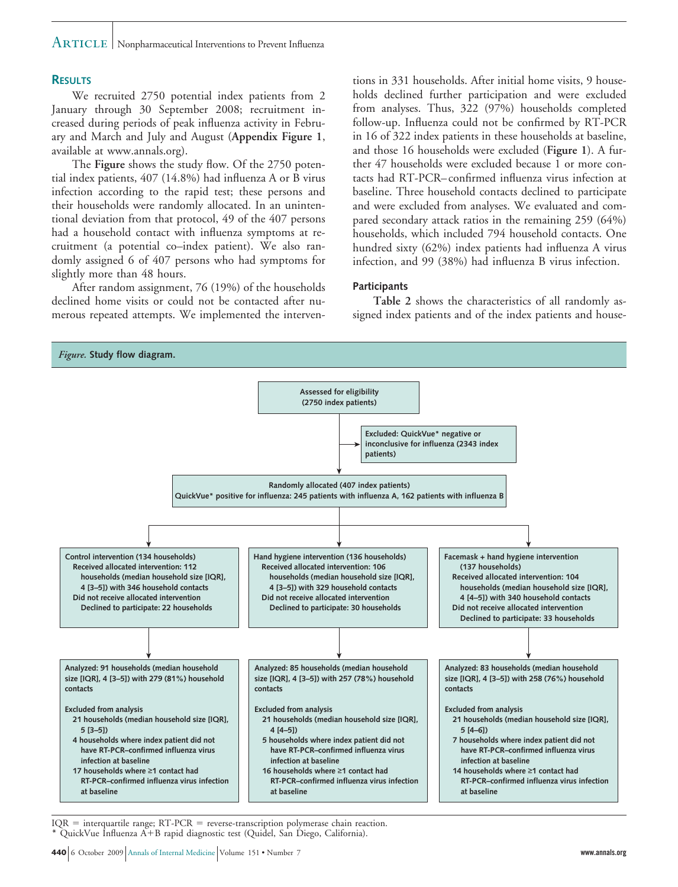## **RESULTS**

We recruited 2750 potential index patients from 2 January through 30 September 2008; recruitment increased during periods of peak influenza activity in February and March and July and August (**Appendix Figure 1**, available at www.annals.org).

The **Figure** shows the study flow. Of the 2750 potential index patients, 407 (14.8%) had influenza A or B virus infection according to the rapid test; these persons and their households were randomly allocated. In an unintentional deviation from that protocol, 49 of the 407 persons had a household contact with influenza symptoms at recruitment (a potential co–index patient). We also randomly assigned 6 of 407 persons who had symptoms for slightly more than 48 hours.

After random assignment, 76 (19%) of the households declined home visits or could not be contacted after numerous repeated attempts. We implemented the interventions in 331 households. After initial home visits, 9 households declined further participation and were excluded from analyses. Thus, 322 (97%) households completed follow-up. Influenza could not be confirmed by RT-PCR in 16 of 322 index patients in these households at baseline, and those 16 households were excluded (**Figure 1**). A further 47 households were excluded because 1 or more contacts had RT-PCR– confirmed influenza virus infection at baseline. Three household contacts declined to participate and were excluded from analyses. We evaluated and compared secondary attack ratios in the remaining 259 (64%) households, which included 794 household contacts. One hundred sixty (62%) index patients had influenza A virus infection, and 99 (38%) had influenza B virus infection.

## **Participants**

**Table 2** shows the characteristics of all randomly assigned index patients and of the index patients and house-



 $IQR =$  interquartile range;  $RT-PCR =$  reverse-transcription polymerase chain reaction. QuickVue Influenza A+B rapid diagnostic test (Quidel, San Diego, California).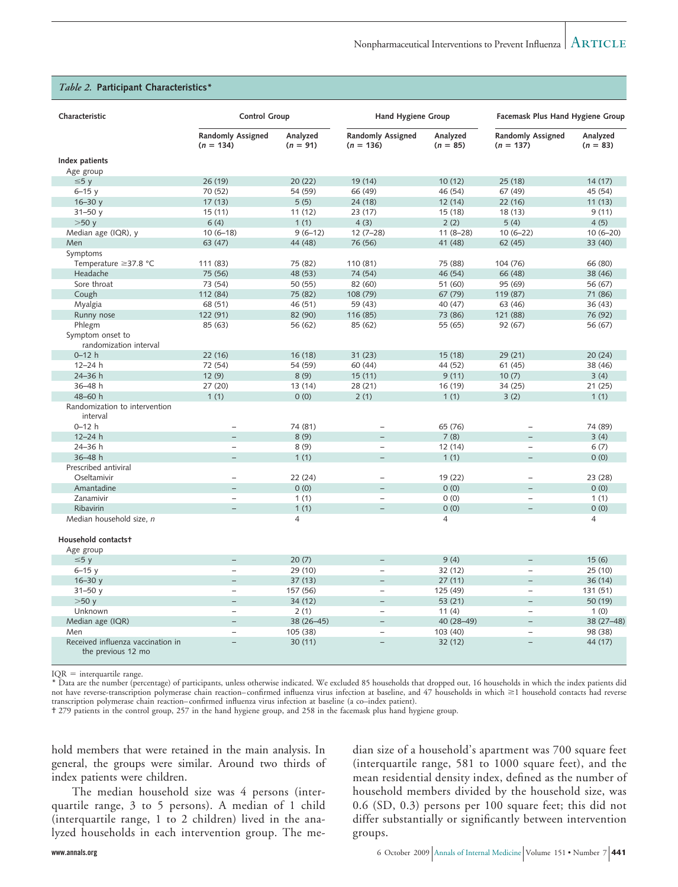| Characteristic                                          | <b>Control Group</b>                    |                        | Hand Hygiene Group                      |                        | Facemask Plus Hand Hygiene Group        |                        |
|---------------------------------------------------------|-----------------------------------------|------------------------|-----------------------------------------|------------------------|-----------------------------------------|------------------------|
|                                                         | <b>Randomly Assigned</b><br>$(n = 134)$ | Analyzed<br>$(n = 91)$ | <b>Randomly Assigned</b><br>$(n = 136)$ | Analyzed<br>$(n = 85)$ | <b>Randomly Assigned</b><br>$(n = 137)$ | Analyzed<br>$(n = 83)$ |
| Index patients                                          |                                         |                        |                                         |                        |                                         |                        |
| Age group                                               |                                         |                        |                                         |                        |                                         |                        |
| $\leq 5$ y                                              | 26(19)                                  | 20(22)                 | 19 (14)                                 | 10(12)                 | 25(18)                                  | 14(17)                 |
| $6 - 15y$                                               | 70 (52)                                 | 54 (59)                | 66 (49)                                 | 46 (54)                | 67 (49)                                 | 45 (54)                |
| $16 - 30y$                                              | 17(13)                                  | 5(5)                   | 24 (18)                                 | 12 (14)                | 22 (16)                                 | 11(13)                 |
| $31 - 50y$                                              | 15(11)                                  | 11(12)                 | 23(17)                                  | 15 (18)                | 18 (13)                                 | 9(11)                  |
| >50y                                                    | 6(4)                                    | 1(1)                   | 4(3)                                    | 2(2)                   | 5(4)                                    | 4(5)                   |
| Median age (IQR), y                                     | $10(6-18)$                              | $9(6-12)$              | $12(7-28)$                              | $11(8-28)$             | $10(6-22)$                              | $10(6-20)$             |
| Men                                                     | 63 (47)                                 | 44 (48)                | 76 (56)                                 | 41 (48)                | 62(45)                                  | 33 (40)                |
| Symptoms                                                |                                         |                        |                                         |                        |                                         |                        |
| Temperature ≥37.8 °C                                    | 111 (83)                                | 75 (82)                | 110 (81)                                | 75 (88)                | 104 (76)                                | 66 (80)                |
| Headache                                                | 75 (56)                                 | 48 (53)                | 74 (54)                                 | 46 (54)                | 66 (48)                                 | 38 (46)                |
| Sore throat                                             | 73 (54)                                 | 50 (55)                | 82 (60)                                 | 51 (60)                | 95 (69)                                 | 56 (67)                |
| Cough                                                   | 112 (84)                                | 75 (82)                | 108 (79)                                | 67 (79)                | 119 (87)                                | 71 (86)                |
| Myalgia                                                 | 68 (51)                                 | 46 (51)                | 59 (43)                                 | 40 (47)                | 63 (46)                                 | 36(43)                 |
| Runny nose                                              | 122 (91)                                | 82 (90)                | 116 (85)                                | 73 (86)                | 121 (88)                                | 76 (92)                |
| Phlegm<br>Symptom onset to<br>randomization interval    | 85 (63)                                 | 56 (62)                | 85 (62)                                 | 55 (65)                | 92 (67)                                 | 56 (67)                |
| $0 - 12 h$                                              | 22 (16)                                 | 16(18)                 | 31(23)                                  | 15 (18)                | 29(21)                                  | 20(24)                 |
| $12 - 24 h$                                             | 72 (54)                                 | 54 (59)                | 60 (44)                                 | 44 (52)                | 61 (45)                                 | 38 (46)                |
| $24 - 36 h$                                             | 12(9)                                   | 8(9)                   | 15(11)                                  | 9(11)                  | 10(7)                                   | 3(4)                   |
| 36-48 h                                                 | 27 (20)                                 | 13 (14)                | 28 (21)                                 | 16 (19)                | 34 (25)                                 | 21(25)                 |
| 48-60 h                                                 | 1(1)                                    | 0(0)                   | 2(1)                                    | 1(1)                   | 3(2)                                    | 1(1)                   |
| Randomization to intervention<br>interval               |                                         |                        |                                         |                        |                                         |                        |
| $0 - 12 h$                                              | $\overline{\phantom{0}}$                | 74 (81)                | $\overline{\phantom{a}}$                | 65 (76)                | $\overline{\phantom{a}}$                | 74 (89)                |
| $12 - 24 h$                                             | $\equiv$                                | 8(9)                   | $\overline{a}$                          | 7(8)                   |                                         | 3(4)                   |
| 24-36 h                                                 | L.                                      | 8(9)                   | L.                                      | 12 (14)                | L.                                      | 6(7)                   |
| 36-48 h                                                 | ÷                                       | 1(1)                   | ÷                                       | 1(1)                   | ۳                                       | 0(0)                   |
| Prescribed antiviral                                    |                                         |                        |                                         |                        |                                         |                        |
| Oseltamivir                                             |                                         | 22 (24)                | $\equiv$                                | 19 (22)                | $\equiv$                                | 23 (28)                |
| Amantadine                                              |                                         | 0(0)                   |                                         | 0(0)                   |                                         | 0(0)                   |
| Zanamivir                                               | $\overline{\phantom{0}}$                | 1(1)                   | $\overline{a}$                          | 0(0)                   | $\overline{\phantom{a}}$                | 1(1)                   |
| Ribavirin                                               | $\equiv$                                | 1(1)                   | $\equiv$                                | 0(0)                   | ÷                                       | 0(0)                   |
| Median household size, n                                |                                         | $\overline{4}$         |                                         | $\overline{4}$         |                                         | $\overline{4}$         |
| Household contactst<br>Age group                        |                                         |                        |                                         |                        |                                         |                        |
| $\leq 5$ y                                              | ÷                                       | 20(7)                  | $\overline{a}$                          | 9(4)                   | ÷                                       | 15(6)                  |
| $6 - 15y$                                               | ۳                                       | 29 (10)                | $\overline{a}$                          | 32 (12)                | $\equiv$                                | 25(10)                 |
| $16 - 30y$                                              |                                         | 37 (13)                |                                         | 27(11)                 |                                         | 36(14)                 |
| $31 - 50y$                                              | $\equiv$                                | 157 (56)               | $\overline{\phantom{a}}$                | 125 (49)               | $\equiv$                                | 131 (51)               |
| >50y                                                    |                                         | 34 (12)                | $\overline{a}$                          | 53 (21)                |                                         | 50 (19)                |
| Unknown                                                 | ۳                                       | 2(1)                   | $\overline{a}$                          | 11(4)                  | ۳                                       | 1(0)                   |
| Median age (IQR)                                        | $\equiv$                                | 38 (26-45)             | $\overline{\phantom{0}}$                | 40 (28-49)             | $\equiv$                                | 38 (27-48)             |
| Men                                                     |                                         | 105 (38)               | $\overline{a}$                          | 103 (40)               |                                         | 98 (38)                |
| Received influenza vaccination in<br>the previous 12 mo | ÷                                       | 30(11)                 | $\overline{\phantom{0}}$                | 32 (12)                | ۳                                       | 44 (17)                |

#### *Table 2.* **Participant Characteristics\***

 $IQR =$  interquartile range.

\* Data are the number (percentage) of participants, unless otherwise indicated. We excluded 85 households that dropped out, 16 households in which the index patients did not have reverse-transcription polymerase chain reaction–confirmed influenza virus infection at baseline, and 47 households in which ≥1 household contacts had reverse transcription polymerase chain reaction– confirmed influenza virus infection at baseline (a co–index patient).

† 279 patients in the control group, 257 in the hand hygiene group, and 258 in the facemask plus hand hygiene group.

hold members that were retained in the main analysis. In general, the groups were similar. Around two thirds of index patients were children.

The median household size was 4 persons (interquartile range, 3 to 5 persons). A median of 1 child (interquartile range, 1 to 2 children) lived in the analyzed households in each intervention group. The me-

dian size of a household's apartment was 700 square feet (interquartile range, 581 to 1000 square feet), and the mean residential density index, defined as the number of household members divided by the household size, was 0.6 (SD, 0.3) persons per 100 square feet; this did not differ substantially or significantly between intervention groups.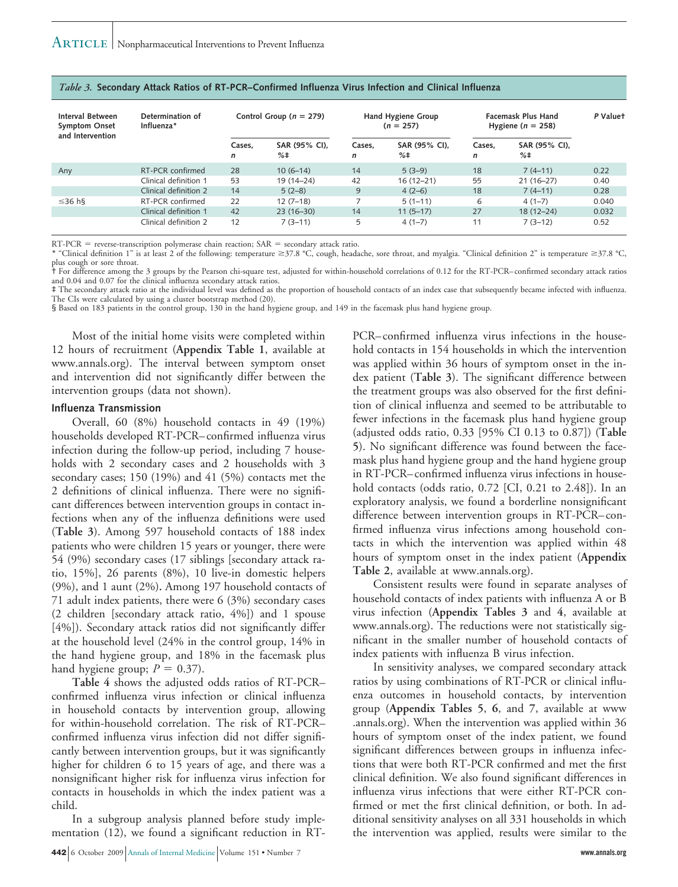| <b>Interval Between</b><br><b>Symptom Onset</b><br>and Intervention | Determination of<br>Influenza* | Control Group ( $n = 279$ ) |                     | Hand Hygiene Group<br>$(n = 257)$ |                          | <b>Facemask Plus Hand</b><br>Hygiene ( $n = 258$ ) |                     | P Valuet |
|---------------------------------------------------------------------|--------------------------------|-----------------------------|---------------------|-----------------------------------|--------------------------|----------------------------------------------------|---------------------|----------|
|                                                                     |                                | Cases.<br>n                 | SAR (95% CI),<br>%‡ | Cases.<br>$\mathsf{n}$            | SAR (95% CI),<br>$% \pm$ | Cases,<br>n                                        | SAR (95% CI),<br>%‡ |          |
| Any                                                                 | RT-PCR confirmed               | 28                          | $10(6-14)$          | 14                                | $5(3-9)$                 | 18                                                 | $7(4-11)$           | 0.22     |
|                                                                     | Clinical definition 1          | 53                          | 19 (14-24)          | 42                                | $16(12 - 21)$            | 55                                                 | $21(16-27)$         | 0.40     |
|                                                                     | Clinical definition 2          | 14                          | $5(2-8)$            | 9                                 | $4(2-6)$                 | 18                                                 | $7(4-11)$           | 0.28     |
| $≤36 h$ §                                                           | RT-PCR confirmed               | 22                          | $12(7-18)$          |                                   | $5(1-11)$                | 6                                                  | $4(1-7)$            | 0.040    |
|                                                                     | Clinical definition 1          | 42                          | $23(16-30)$         | 14                                | $11(5-17)$               | 27                                                 | $18(12 - 24)$       | 0.032    |
|                                                                     | Clinical definition 2          | 12                          | $7(3-11)$           | 5                                 | $4(1-7)$                 | 11                                                 | $7(3-12)$           | 0.52     |

#### *Table 3.* **Secondary Attack Ratios of RT-PCR–Confirmed Influenza Virus Infection and Clinical Influenza**

 $RT-PCR$  = reverse-transcription polymerase chain reaction;  $SAR$  = secondary attack ratio.

\* "Clinical definition 1" is at least 2 of the following: temperature 37.8 °C, cough, headache, sore throat, and myalgia. "Clinical definition 2" is temperature 37.8 °C, plus cough or sore throat.

† For difference among the 3 groups by the Pearson chi-square test, adjusted for within-household correlations of 0.12 for the RT-PCR– confirmed secondary attack ratios and 0.04 and 0.07 for the clinical influenza secondary attack ratios.

‡ The secondary attack ratio at the individual level was defined as the proportion of household contacts of an index case that subsequently became infected with influenza. The CIs were calculated by using a cluster bootstrap method (20).

§ Based on 183 patients in the control group, 130 in the hand hygiene group, and 149 in the facemask plus hand hygiene group.

Most of the initial home visits were completed within 12 hours of recruitment (**Appendix Table 1**, available at www.annals.org). The interval between symptom onset and intervention did not significantly differ between the intervention groups (data not shown).

#### **Influenza Transmission**

Overall, 60 (8%) household contacts in 49 (19%) households developed RT-PCR– confirmed influenza virus infection during the follow-up period, including 7 households with 2 secondary cases and 2 households with 3 secondary cases; 150 (19%) and 41 (5%) contacts met the 2 definitions of clinical influenza. There were no significant differences between intervention groups in contact infections when any of the influenza definitions were used (**Table 3**). Among 597 household contacts of 188 index patients who were children 15 years or younger, there were 54 (9%) secondary cases (17 siblings [secondary attack ratio, 15%], 26 parents (8%), 10 live-in domestic helpers (9%), and 1 aunt (2%)**.** Among 197 household contacts of 71 adult index patients, there were 6 (3%) secondary cases (2 children [secondary attack ratio, 4%]) and 1 spouse [4%]). Secondary attack ratios did not significantly differ at the household level (24% in the control group, 14% in the hand hygiene group, and 18% in the facemask plus hand hygiene group;  $P = 0.37$ ).

**Table 4** shows the adjusted odds ratios of RT-PCR– confirmed influenza virus infection or clinical influenza in household contacts by intervention group, allowing for within-household correlation. The risk of RT-PCR– confirmed influenza virus infection did not differ significantly between intervention groups, but it was significantly higher for children 6 to 15 years of age, and there was a nonsignificant higher risk for influenza virus infection for contacts in households in which the index patient was a child.

In a subgroup analysis planned before study implementation (12), we found a significant reduction in RT- hold contacts in 154 households in which the intervention was applied within 36 hours of symptom onset in the index patient (**Table 3**). The significant difference between the treatment groups was also observed for the first definition of clinical influenza and seemed to be attributable to fewer infections in the facemask plus hand hygiene group (adjusted odds ratio, 0.33 [95% CI 0.13 to 0.87]) (**Table 5**). No significant difference was found between the facemask plus hand hygiene group and the hand hygiene group in RT-PCR– confirmed influenza virus infections in household contacts (odds ratio, 0.72 [CI, 0.21 to 2.48]). In an exploratory analysis, we found a borderline nonsignificant difference between intervention groups in RT-PCR– confirmed influenza virus infections among household contacts in which the intervention was applied within 48 hours of symptom onset in the index patient (**Appendix Table 2**, available at www.annals.org).

PCR– confirmed influenza virus infections in the house-

Consistent results were found in separate analyses of household contacts of index patients with influenza A or B virus infection (**Appendix Tables 3** and **4**, available at www.annals.org). The reductions were not statistically significant in the smaller number of household contacts of index patients with influenza B virus infection.

In sensitivity analyses, we compared secondary attack ratios by using combinations of RT-PCR or clinical influenza outcomes in household contacts, by intervention group (**Appendix Tables 5**, **6**, and **7**, available at www .annals.org). When the intervention was applied within 36 hours of symptom onset of the index patient, we found significant differences between groups in influenza infections that were both RT-PCR confirmed and met the first clinical definition. We also found significant differences in influenza virus infections that were either RT-PCR confirmed or met the first clinical definition, or both. In additional sensitivity analyses on all 331 households in which the intervention was applied, results were similar to the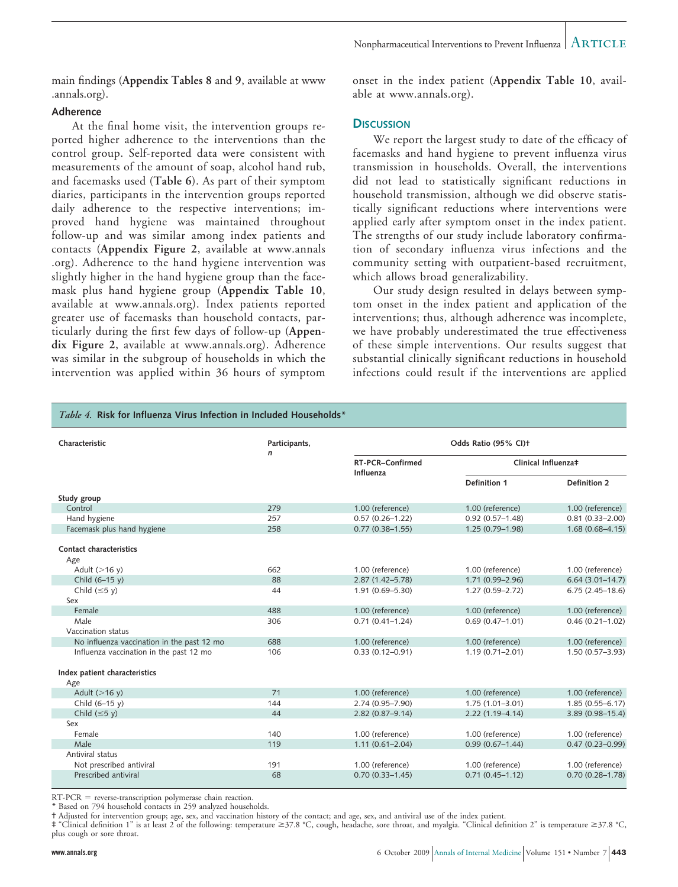main findings (**Appendix Tables 8** and **9**, available at www .annals.org).

## **Adherence**

At the final home visit, the intervention groups reported higher adherence to the interventions than the control group. Self-reported data were consistent with measurements of the amount of soap, alcohol hand rub, and facemasks used (**Table 6**). As part of their symptom diaries, participants in the intervention groups reported daily adherence to the respective interventions; improved hand hygiene was maintained throughout follow-up and was similar among index patients and contacts (**Appendix Figure 2**, available at www.annals .org). Adherence to the hand hygiene intervention was slightly higher in the hand hygiene group than the facemask plus hand hygiene group (**Appendix Table 10**, available at www.annals.org). Index patients reported greater use of facemasks than household contacts, particularly during the first few days of follow-up (**Appendix Figure 2**, available at www.annals.org). Adherence was similar in the subgroup of households in which the intervention was applied within 36 hours of symptom

onset in the index patient (**Appendix Table 10**, available at www.annals.org).

#### **DISCUSSION**

We report the largest study to date of the efficacy of facemasks and hand hygiene to prevent influenza virus transmission in households. Overall, the interventions did not lead to statistically significant reductions in household transmission, although we did observe statistically significant reductions where interventions were applied early after symptom onset in the index patient. The strengths of our study include laboratory confirmation of secondary influenza virus infections and the community setting with outpatient-based recruitment, which allows broad generalizability.

Our study design resulted in delays between symptom onset in the index patient and application of the interventions; thus, although adherence was incomplete, we have probably underestimated the true effectiveness of these simple interventions. Our results suggest that substantial clinically significant reductions in household infections could result if the interventions are applied

| Characteristic                             | Participants,<br>n | Odds Ratio (95% CI) <sup>+</sup> |                     |                     |  |  |
|--------------------------------------------|--------------------|----------------------------------|---------------------|---------------------|--|--|
|                                            |                    | RT-PCR-Confirmed<br>Influenza    | Clinical Influenza‡ |                     |  |  |
|                                            |                    |                                  | Definition 1        | Definition 2        |  |  |
| Study group                                |                    |                                  |                     |                     |  |  |
| Control                                    | 279                | 1.00 (reference)                 | 1.00 (reference)    | 1.00 (reference)    |  |  |
| Hand hygiene                               | 257                | $0.57(0.26 - 1.22)$              | $0.92(0.57 - 1.48)$ | $0.81(0.33 - 2.00)$ |  |  |
| Facemask plus hand hygiene                 | 258                | $0.77(0.38 - 1.55)$              | $1.25(0.79 - 1.98)$ | $1.68(0.68 - 4.15)$ |  |  |
| Contact characteristics                    |                    |                                  |                     |                     |  |  |
| Age                                        |                    |                                  |                     |                     |  |  |
| Adult $(>16 y)$                            | 662                | 1.00 (reference)                 | 1.00 (reference)    | 1.00 (reference)    |  |  |
| Child (6-15 y)                             | 88                 | $2.87(1.42 - 5.78)$              | $1.71(0.99 - 2.96)$ | $6.64(3.01 - 14.7)$ |  |  |
| Child $(\leq 5 y)$                         | 44                 | 1.91 (0.69-5.30)                 | $1.27(0.59 - 2.72)$ | $6.75(2.45 - 18.6)$ |  |  |
| Sex                                        |                    |                                  |                     |                     |  |  |
| Female                                     | 488                | 1.00 (reference)                 | 1.00 (reference)    | 1.00 (reference)    |  |  |
| Male                                       | 306                | $0.71(0.41 - 1.24)$              | $0.69(0.47 - 1.01)$ | $0.46(0.21 - 1.02)$ |  |  |
| Vaccination status                         |                    |                                  |                     |                     |  |  |
| No influenza vaccination in the past 12 mo | 688                | 1.00 (reference)                 | 1.00 (reference)    | 1.00 (reference)    |  |  |
| Influenza vaccination in the past 12 mo    | 106                | $0.33(0.12 - 0.91)$              | $1.19(0.71 - 2.01)$ | $1.50(0.57 - 3.93)$ |  |  |
| Index patient characteristics              |                    |                                  |                     |                     |  |  |
| Age                                        |                    |                                  |                     |                     |  |  |
| Adult $(>16 y)$                            | 71                 | 1.00 (reference)                 | 1.00 (reference)    | 1.00 (reference)    |  |  |
| Child (6-15 y)                             | 144                | 2.74 (0.95-7.90)                 | $1.75(1.01 - 3.01)$ | $1.85(0.55 - 6.17)$ |  |  |
| Child $(\leq 5 y)$                         | 44                 | $2.82(0.87 - 9.14)$              | $2.22(1.19 - 4.14)$ | 3.89 (0.98-15.4)    |  |  |
| Sex                                        |                    |                                  |                     |                     |  |  |
| Female                                     | 140                | 1.00 (reference)                 | 1.00 (reference)    | 1.00 (reference)    |  |  |
| Male                                       | 119                | $1.11(0.61 - 2.04)$              | $0.99(0.67 - 1.44)$ | $0.47(0.23 - 0.99)$ |  |  |
| Antiviral status                           |                    |                                  |                     |                     |  |  |
| Not prescribed antiviral                   | 191                | 1.00 (reference)                 | 1.00 (reference)    | 1.00 (reference)    |  |  |
| Prescribed antiviral                       | 68                 | $0.70(0.33 - 1.45)$              | $0.71(0.45 - 1.12)$ | $0.70(0.28 - 1.78)$ |  |  |

 $RT-PCR$  = reverse-transcription polymerase chain reaction.

\* Based on 794 household contacts in 259 analyzed households.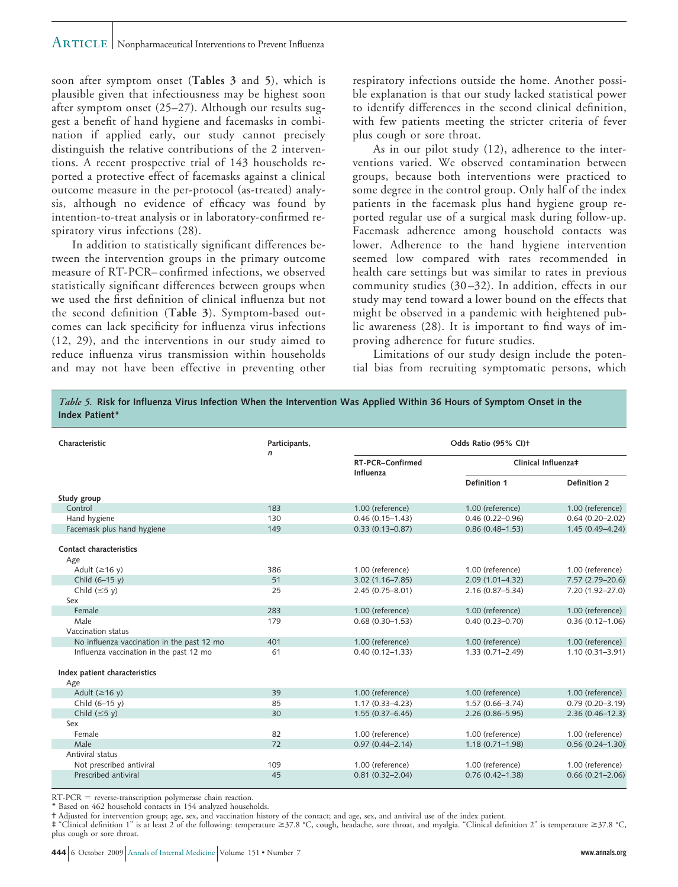## ARTICLE | Nonpharmaceutical Interventions to Prevent Influenza

soon after symptom onset (**Tables 3** and **5**), which is plausible given that infectiousness may be highest soon after symptom onset (25–27). Although our results suggest a benefit of hand hygiene and facemasks in combination if applied early, our study cannot precisely distinguish the relative contributions of the 2 interventions. A recent prospective trial of 143 households reported a protective effect of facemasks against a clinical outcome measure in the per-protocol (as-treated) analysis, although no evidence of efficacy was found by intention-to-treat analysis or in laboratory-confirmed respiratory virus infections (28).

In addition to statistically significant differences between the intervention groups in the primary outcome measure of RT-PCR– confirmed infections, we observed statistically significant differences between groups when we used the first definition of clinical influenza but not the second definition (**Table 3**). Symptom-based outcomes can lack specificity for influenza virus infections (12, 29), and the interventions in our study aimed to reduce influenza virus transmission within households and may not have been effective in preventing other

respiratory infections outside the home. Another possible explanation is that our study lacked statistical power to identify differences in the second clinical definition, with few patients meeting the stricter criteria of fever plus cough or sore throat.

As in our pilot study (12), adherence to the interventions varied. We observed contamination between groups, because both interventions were practiced to some degree in the control group. Only half of the index patients in the facemask plus hand hygiene group reported regular use of a surgical mask during follow-up. Facemask adherence among household contacts was lower. Adherence to the hand hygiene intervention seemed low compared with rates recommended in health care settings but was similar to rates in previous community studies (30 –32). In addition, effects in our study may tend toward a lower bound on the effects that might be observed in a pandemic with heightened public awareness (28). It is important to find ways of improving adherence for future studies.

Limitations of our study design include the potential bias from recruiting symptomatic persons, which

*Table 5.* **Risk for Influenza Virus Infection When the Intervention Was Applied Within 36 Hours of Symptom Onset in the Index Patient\***

| Characteristic                             | Participants,<br>n | Odds Ratio (95% CI)+                 |                     |                     |  |
|--------------------------------------------|--------------------|--------------------------------------|---------------------|---------------------|--|
|                                            |                    | <b>RT-PCR-Confirmed</b><br>Influenza |                     | Clinical Influenza‡ |  |
|                                            |                    |                                      | Definition 1        | Definition 2        |  |
| Study group                                |                    |                                      |                     |                     |  |
| Control                                    | 183                | 1.00 (reference)                     | 1.00 (reference)    | 1.00 (reference)    |  |
| Hand hygiene                               | 130                | $0.46(0.15 - 1.43)$                  | $0.46(0.22 - 0.96)$ | $0.64(0.20 - 2.02)$ |  |
| Facemask plus hand hygiene                 | 149                | $0.33(0.13 - 0.87)$                  | $0.86(0.48 - 1.53)$ | $1.45(0.49 - 4.24)$ |  |
|                                            |                    |                                      |                     |                     |  |
| Contact characteristics                    |                    |                                      |                     |                     |  |
| Age<br>Adult $(\geq 16 y)$                 | 386                | 1.00 (reference)                     | 1.00 (reference)    | 1.00 (reference)    |  |
| Child (6-15 y)                             | 51                 | 3.02 (1.16-7.85)                     | $2.09(1.01 - 4.32)$ | $7.57(2.79 - 20.6)$ |  |
| Child $(\leq 5 y)$                         | 25                 | 2.45 (0.75-8.01)                     | $2.16(0.87 - 5.34)$ | 7.20 (1.92-27.0)    |  |
| Sex                                        |                    |                                      |                     |                     |  |
| Female                                     | 283                | 1.00 (reference)                     | 1.00 (reference)    | 1.00 (reference)    |  |
| Male                                       | 179                | $0.68(0.30 - 1.53)$                  | $0.40(0.23 - 0.70)$ | $0.36(0.12 - 1.06)$ |  |
| Vaccination status                         |                    |                                      |                     |                     |  |
| No influenza vaccination in the past 12 mo | 401                | 1.00 (reference)                     | 1.00 (reference)    | 1.00 (reference)    |  |
| Influenza vaccination in the past 12 mo    | 61                 | $0.40(0.12 - 1.33)$                  | $1.33(0.71 - 2.49)$ | $1.10(0.31 - 3.91)$ |  |
|                                            |                    |                                      |                     |                     |  |
| Index patient characteristics              |                    |                                      |                     |                     |  |
| Age                                        |                    |                                      |                     |                     |  |
| Adult $(\geq 16 y)$                        | 39                 | 1.00 (reference)                     | 1.00 (reference)    | 1.00 (reference)    |  |
| Child (6-15 y)                             | 85                 | $1.17(0.33 - 4.23)$                  | $1.57(0.66 - 3.74)$ | $0.79(0.20 - 3.19)$ |  |
| Child $(\leq 5 y)$                         | 30                 | $1.55(0.37 - 6.45)$                  | $2.26(0.86 - 5.95)$ | $2.36(0.46 - 12.3)$ |  |
| Sex                                        |                    |                                      |                     |                     |  |
| Female                                     | 82                 | 1.00 (reference)                     | 1.00 (reference)    | 1.00 (reference)    |  |
| Male                                       | 72                 | $0.97(0.44 - 2.14)$                  | $1.18(0.71 - 1.98)$ | $0.56(0.24 - 1.30)$ |  |
| Antiviral status                           |                    |                                      |                     |                     |  |
| Not prescribed antiviral                   | 109                | 1.00 (reference)                     | 1.00 (reference)    | 1.00 (reference)    |  |
| Prescribed antiviral                       | 45                 | $0.81(0.32 - 2.04)$                  | $0.76(0.42 - 1.38)$ | $0.66(0.21 - 2.06)$ |  |

 $RT-PCR$  = reverse-transcription polymerase chain reaction.

\* Based on 462 household contacts in 154 analyzed households.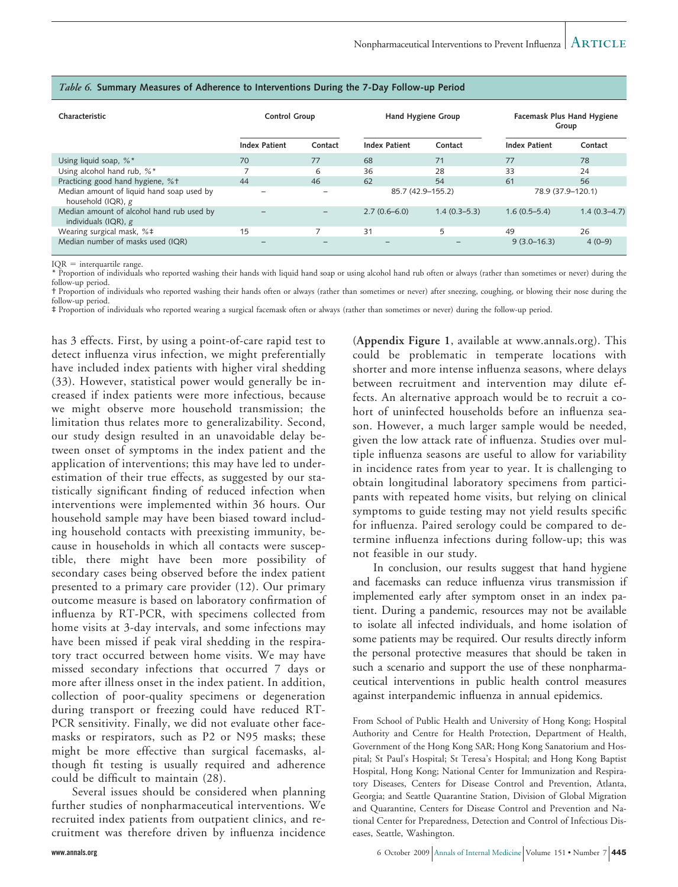| Characteristic<br><b>Control Group</b>                               |                          |         |                      | Hand Hygiene Group | <b>Facemask Plus Hand Hygiene</b><br>Group |                |
|----------------------------------------------------------------------|--------------------------|---------|----------------------|--------------------|--------------------------------------------|----------------|
|                                                                      | <b>Index Patient</b>     | Contact | <b>Index Patient</b> | Contact            | <b>Index Patient</b>                       | Contact        |
| Using liquid soap, %*                                                | 70                       | 77      | 68                   | 71                 | 77                                         | 78             |
| Using alcohol hand rub, %*                                           |                          | 6       | 36                   | 28                 | 33                                         | 24             |
| Practicing good hand hygiene, %+                                     | 44                       | 46      | 62                   | 54                 | 61                                         | 56             |
| Median amount of liquid hand soap used by<br>household (IQR), $g$    | -                        | -       | 85.7 (42.9-155.2)    |                    | 78.9 (37.9-120.1)                          |                |
| Median amount of alcohol hand rub used by<br>individuals $(IQR)$ , g | $\overline{\phantom{a}}$ | -       | $2.7(0.6-6.0)$       | $1.4(0.3 - 5.3)$   | $1.6(0.5-5.4)$                             | $1.4(0.3-4.7)$ |
| Wearing surgical mask, %‡                                            | 15                       |         | 31                   | 5                  | 49                                         | 26             |
| Median number of masks used (IQR)                                    |                          |         |                      |                    | $9(3.0 - 16.3)$                            | $4(0-9)$       |

#### *Table 6.* **Summary Measures of Adherence to Interventions During the 7-Day Follow-up Period**

 $IQR =$  interquartile range.

\* Proportion of individuals who reported washing their hands with liquid hand soap or using alcohol hand rub often or always (rather than sometimes or never) during the follow-up period.

† Proportion of individuals who reported washing their hands often or always (rather than sometimes or never) after sneezing, coughing, or blowing their nose during the follow-up period.

‡ Proportion of individuals who reported wearing a surgical facemask often or always (rather than sometimes or never) during the follow-up period.

has 3 effects. First, by using a point-of-care rapid test to detect influenza virus infection, we might preferentially have included index patients with higher viral shedding (33). However, statistical power would generally be increased if index patients were more infectious, because we might observe more household transmission; the limitation thus relates more to generalizability. Second, our study design resulted in an unavoidable delay between onset of symptoms in the index patient and the application of interventions; this may have led to underestimation of their true effects, as suggested by our statistically significant finding of reduced infection when interventions were implemented within 36 hours. Our household sample may have been biased toward including household contacts with preexisting immunity, because in households in which all contacts were susceptible, there might have been more possibility of secondary cases being observed before the index patient presented to a primary care provider (12). Our primary outcome measure is based on laboratory confirmation of influenza by RT-PCR, with specimens collected from home visits at 3-day intervals, and some infections may have been missed if peak viral shedding in the respiratory tract occurred between home visits. We may have missed secondary infections that occurred 7 days or more after illness onset in the index patient. In addition, collection of poor-quality specimens or degeneration during transport or freezing could have reduced RT-PCR sensitivity. Finally, we did not evaluate other facemasks or respirators, such as P2 or N95 masks; these might be more effective than surgical facemasks, although fit testing is usually required and adherence could be difficult to maintain (28).

Several issues should be considered when planning further studies of nonpharmaceutical interventions. We recruited index patients from outpatient clinics, and recruitment was therefore driven by influenza incidence

(**Appendix Figure 1**, available at www.annals.org). This could be problematic in temperate locations with shorter and more intense influenza seasons, where delays between recruitment and intervention may dilute effects. An alternative approach would be to recruit a cohort of uninfected households before an influenza season. However, a much larger sample would be needed, given the low attack rate of influenza. Studies over multiple influenza seasons are useful to allow for variability in incidence rates from year to year. It is challenging to obtain longitudinal laboratory specimens from participants with repeated home visits, but relying on clinical symptoms to guide testing may not yield results specific for influenza. Paired serology could be compared to determine influenza infections during follow-up; this was not feasible in our study.

In conclusion, our results suggest that hand hygiene and facemasks can reduce influenza virus transmission if implemented early after symptom onset in an index patient. During a pandemic, resources may not be available to isolate all infected individuals, and home isolation of some patients may be required. Our results directly inform the personal protective measures that should be taken in such a scenario and support the use of these nonpharmaceutical interventions in public health control measures against interpandemic influenza in annual epidemics.

From School of Public Health and University of Hong Kong; Hospital Authority and Centre for Health Protection, Department of Health, Government of the Hong Kong SAR; Hong Kong Sanatorium and Hospital; St Paul's Hospital; St Teresa's Hospital; and Hong Kong Baptist Hospital, Hong Kong; National Center for Immunization and Respiratory Diseases, Centers for Disease Control and Prevention, Atlanta, Georgia; and Seattle Quarantine Station, Division of Global Migration and Quarantine, Centers for Disease Control and Prevention and National Center for Preparedness, Detection and Control of Infectious Diseases, Seattle, Washington.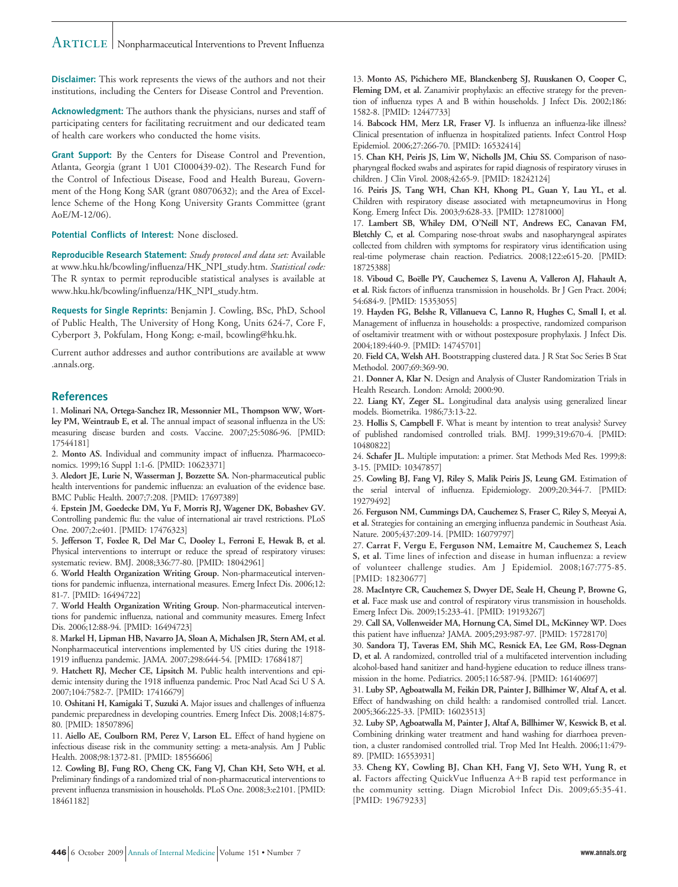## ARTICLE | Nonpharmaceutical Interventions to Prevent Influenza

**Disclaimer:** This work represents the views of the authors and not their institutions, including the Centers for Disease Control and Prevention.

**Acknowledgment:** The authors thank the physicians, nurses and staff of participating centers for facilitating recruitment and our dedicated team of health care workers who conducted the home visits.

**Grant Support:** By the Centers for Disease Control and Prevention, Atlanta, Georgia (grant 1 U01 CI000439-02). The Research Fund for the Control of Infectious Disease, Food and Health Bureau, Government of the Hong Kong SAR (grant 08070632); and the Area of Excellence Scheme of the Hong Kong University Grants Committee (grant AoE/M-12/06).

**Potential Conflicts of Interest:** None disclosed.

**Reproducible Research Statement:** *Study protocol and data set:* Available at www.hku.hk/bcowling/influenza/HK\_NPI\_study.htm. *Statistical code:* The R syntax to permit reproducible statistical analyses is available at www.hku.hk/bcowling/influenza/HK\_NPI\_study.htm.

**Requests for Single Reprints:** Benjamin J. Cowling, BSc, PhD, School of Public Health, The University of Hong Kong, Units 624-7, Core F, Cyberport 3, Pokfulam, Hong Kong; e-mail, bcowling@hku.hk.

Current author addresses and author contributions are available at www .annals.org.

## **References**

1. **Molinari NA, Ortega-Sanchez IR, Messonnier ML, Thompson WW, Wortley PM, Weintraub E, et al.** The annual impact of seasonal influenza in the US: measuring disease burden and costs. Vaccine. 2007;25:5086-96. [PMID: 17544181]

2. **Monto AS.** Individual and community impact of influenza. Pharmacoeconomics. 1999;16 Suppl 1:1-6. [PMID: 10623371]

3. **Aledort JE, Lurie N, Wasserman J, Bozzette SA.** Non-pharmaceutical public health interventions for pandemic influenza: an evaluation of the evidence base. BMC Public Health. 2007;7:208. [PMID: 17697389]

4. **Epstein JM, Goedecke DM, Yu F, Morris RJ, Wagener DK, Bobashev GV.** Controlling pandemic flu: the value of international air travel restrictions. PLoS One. 2007;2:e401. [PMID: 17476323]

5. **Jefferson T, Foxlee R, Del Mar C, Dooley L, Ferroni E, Hewak B, et al.** Physical interventions to interrupt or reduce the spread of respiratory viruses: systematic review. BMJ. 2008;336:77-80. [PMID: 18042961]

6. **World Health Organization Writing Group.** Non-pharmaceutical interventions for pandemic influenza, international measures. Emerg Infect Dis. 2006;12: 81-7. [PMID: 16494722]

7. **World Health Organization Writing Group.** Non-pharmaceutical interventions for pandemic influenza, national and community measures. Emerg Infect Dis. 2006;12:88-94. [PMID: 16494723]

8. **Markel H, Lipman HB, Navarro JA, Sloan A, Michalsen JR, Stern AM, et al.** Nonpharmaceutical interventions implemented by US cities during the 1918- 1919 influenza pandemic. JAMA. 2007;298:644-54. [PMID: 17684187]

9. **Hatchett RJ, Mecher CE, Lipsitch M.** Public health interventions and epidemic intensity during the 1918 influenza pandemic. Proc Natl Acad Sci U S A. 2007;104:7582-7. [PMID: 17416679]

10. **Oshitani H, Kamigaki T, Suzuki A.** Major issues and challenges of influenza pandemic preparedness in developing countries. Emerg Infect Dis. 2008;14:875- 80. [PMID: 18507896]

11. **Aiello AE, Coulborn RM, Perez V, Larson EL.** Effect of hand hygiene on infectious disease risk in the community setting: a meta-analysis. Am J Public Health. 2008;98:1372-81. [PMID: 18556606]

12. **Cowling BJ, Fung RO, Cheng CK, Fang VJ, Chan KH, Seto WH, et al.** Preliminary findings of a randomized trial of non-pharmaceutical interventions to prevent influenza transmission in households. PLoS One. 2008;3:e2101. [PMID: 18461182]

13. **Monto AS, Pichichero ME, Blanckenberg SJ, Ruuskanen O, Cooper C, Fleming DM, et al.** Zanamivir prophylaxis: an effective strategy for the prevention of influenza types A and B within households. J Infect Dis. 2002;186: 1582-8. [PMID: 12447733]

14. **Babcock HM, Merz LR, Fraser VJ.** Is influenza an influenza-like illness? Clinical presentation of influenza in hospitalized patients. Infect Control Hosp Epidemiol. 2006;27:266-70. [PMID: 16532414]

15. **Chan KH, Peiris JS, Lim W, Nicholls JM, Chiu SS.** Comparison of nasopharyngeal flocked swabs and aspirates for rapid diagnosis of respiratory viruses in children. J Clin Virol. 2008;42:65-9. [PMID: 18242124]

16. **Peiris JS, Tang WH, Chan KH, Khong PL, Guan Y, Lau YL, et al.** Children with respiratory disease associated with metapneumovirus in Hong Kong. Emerg Infect Dis. 2003;9:628-33. [PMID: 12781000]

17. **Lambert SB, Whiley DM, O'Neill NT, Andrews EC, Canavan FM, Bletchly C, et al.** Comparing nose-throat swabs and nasopharyngeal aspirates collected from children with symptoms for respiratory virus identification using real-time polymerase chain reaction. Pediatrics. 2008;122:e615-20. [PMID: 18725388]

18. Viboud C, Boëlle PY, Cauchemez S, Lavenu A, Valleron AJ, Flahault A, **et al.** Risk factors of influenza transmission in households. Br J Gen Pract. 2004; 54:684-9. [PMID: 15353055]

19. **Hayden FG, Belshe R, Villanueva C, Lanno R, Hughes C, Small I, et al.** Management of influenza in households: a prospective, randomized comparison of oseltamivir treatment with or without postexposure prophylaxis. J Infect Dis. 2004;189:440-9. [PMID: 14745701]

20. **Field CA, Welsh AH.** Bootstrapping clustered data. J R Stat Soc Series B Stat Methodol. 2007;69:369-90.

21. **Donner A, Klar N.** Design and Analysis of Cluster Randomization Trials in Health Research. London: Arnold; 2000:90.

22. **Liang KY, Zeger SL.** Longitudinal data analysis using generalized linear models. Biometrika. 1986;73:13-22.

23. **Hollis S, Campbell F.** What is meant by intention to treat analysis? Survey of published randomised controlled trials. BMJ. 1999;319:670-4. [PMID: 10480822]

24. **Schafer JL.** Multiple imputation: a primer. Stat Methods Med Res. 1999;8: 3-15. [PMID: 10347857]

25. **Cowling BJ, Fang VJ, Riley S, Malik Peiris JS, Leung GM.** Estimation of the serial interval of influenza. Epidemiology. 2009;20:344-7. [PMID: 19279492]

26. **Ferguson NM, Cummings DA, Cauchemez S, Fraser C, Riley S, Meeyai A, et al.** Strategies for containing an emerging influenza pandemic in Southeast Asia. Nature. 2005;437:209-14. [PMID: 16079797]

27. **Carrat F, Vergu E, Ferguson NM, Lemaitre M, Cauchemez S, Leach S, et al.** Time lines of infection and disease in human influenza: a review of volunteer challenge studies. Am J Epidemiol. 2008;167:775-85. [PMID: 18230677]

28. **MacIntyre CR, Cauchemez S, Dwyer DE, Seale H, Cheung P, Browne G, et al.** Face mask use and control of respiratory virus transmission in households. Emerg Infect Dis. 2009;15:233-41. [PMID: 19193267]

29. **Call SA, Vollenweider MA, Hornung CA, Simel DL, McKinney WP.** Does this patient have influenza? JAMA. 2005;293:987-97. [PMID: 15728170]

30. **Sandora TJ, Taveras EM, Shih MC, Resnick EA, Lee GM, Ross-Degnan D, et al.** A randomized, controlled trial of a multifaceted intervention including alcohol-based hand sanitizer and hand-hygiene education to reduce illness transmission in the home. Pediatrics. 2005;116:587-94. [PMID: 16140697]

31. **Luby SP, Agboatwalla M, Feikin DR, Painter J, Billhimer W, Altaf A, et al.** Effect of handwashing on child health: a randomised controlled trial. Lancet. 2005;366:225-33. [PMID: 16023513]

32. **Luby SP, Agboatwalla M, Painter J, Altaf A, Billhimer W, Keswick B, et al.** Combining drinking water treatment and hand washing for diarrhoea prevention, a cluster randomised controlled trial. Trop Med Int Health. 2006;11:479- 89. [PMID: 16553931]

33. **Cheng KY, Cowling BJ, Chan KH, Fang VJ, Seto WH, Yung R, et** al. Factors affecting QuickVue Influenza A+B rapid test performance in the community setting. Diagn Microbiol Infect Dis. 2009;65:35-41. [PMID: 19679233]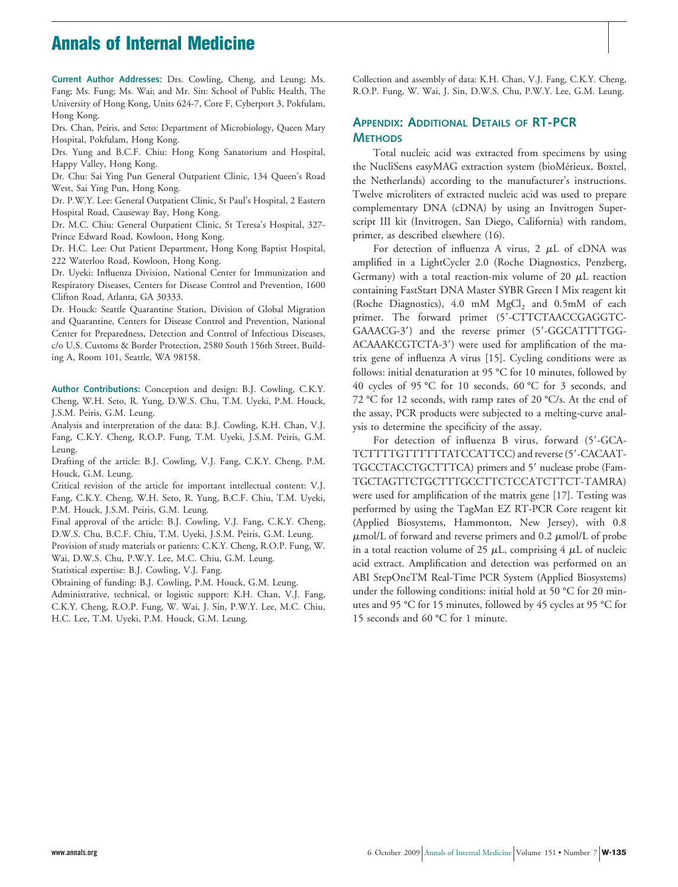# **Annals of Internal Medicine**

**Current Author Addresses:** Drs. Cowling, Cheng, and Leung; Ms. Fang; Ms. Fung; Ms. Wai; and Mr. Sin: School of Public Health, The University of Hong Kong, Units 624-7, Core F, Cyberport 3, Pokfulam, Hong Kong.

Drs. Chan, Peiris, and Seto: Department of Microbiology, Queen Mary Hospital, Pokfulam, Hong Kong.

Drs. Yung and B.C.F. Chiu: Hong Kong Sanatorium and Hospital, Happy Valley, Hong Kong.

Dr. Chu: Sai Ying Pun General Outpatient Clinic, 134 Queen's Road West, Sai Ying Pun, Hong Kong.

Dr. P.W.Y. Lee: General Outpatient Clinic, St Paul's Hospital, 2 Eastern Hospital Road, Causeway Bay, Hong Kong.

Dr. M.C. Chiu: General Outpatient Clinic, St Teresa's Hospital, 327- Prince Edward Road, Kowloon, Hong Kong.

Dr. H.C. Lee: Out Patient Department, Hong Kong Baptist Hospital, 222 Waterloo Road, Kowloon, Hong Kong.

Dr. Uyeki: Influenza Division, National Center for Immunization and Respiratory Diseases, Centers for Disease Control and Prevention, 1600 Clifton Road, Atlanta, GA 30333.

Dr. Houck: Seattle Quarantine Station, Division of Global Migration and Quarantine, Centers for Disease Control and Prevention, National Center for Preparedness, Detection and Control of Infectious Diseases, c/o U.S. Customs & Border Protection, 2580 South 156th Street, Building A, Room 101, Seattle, WA 98158.

**Author Contributions:** Conception and design: B.J. Cowling, C.K.Y. Cheng, W.H. Seto, R. Yung, D.W.S. Chu, T.M. Uyeki, P.M. Houck, J.S.M. Peiris, G.M. Leung.

Analysis and interpretation of the data: B.J. Cowling, K.H. Chan, V.J. Fang, C.K.Y. Cheng, R.O.P. Fung, T.M. Uyeki, J.S.M. Peiris, G.M. Leung.

Drafting of the article: B.J. Cowling, V.J. Fang, C.K.Y. Cheng, P.M. Houck, G.M. Leung.

Critical revision of the article for important intellectual content: V.J. Fang, C.K.Y. Cheng, W.H. Seto, R. Yung, B.C.F. Chiu, T.M. Uyeki, P.M. Houck, J.S.M. Peiris, G.M. Leung.

Final approval of the article: B.J. Cowling, V.J. Fang, C.K.Y. Cheng, D.W.S. Chu, B.C.F. Chiu, T.M. Uyeki, J.S.M. Peiris, G.M. Leung.

Provision of study materials or patients: C.K.Y. Cheng, R.O.P. Fung, W. Wai, D.W.S. Chu, P.W.Y. Lee, M.C. Chiu, G.M. Leung.

Statistical expertise: B.J. Cowling, V.J. Fang.

Obtaining of funding: B.J. Cowling, P.M. Houck, G.M. Leung.

Administrative, technical, or logistic support: K.H. Chan, V.J. Fang, C.K.Y. Cheng, R.O.P. Fung, W. Wai, J. Sin, P.W.Y. Lee, M.C. Chiu, H.C. Lee, T.M. Uyeki, P.M. Houck, G.M. Leung.

Collection and assembly of data: K.H. Chan, V.J. Fang, C.K.Y. Cheng, R.O.P. Fung, W. Wai, J. Sin, D.W.S. Chu, P.W.Y. Lee, G.M. Leung.

## **APPENDIX: ADDITIONAL DETAILS OF RT-PCR METHODS**

Total nucleic acid was extracted from specimens by using the NucliSens easyMAG extraction system (bioMérieux, Boxtel, the Netherlands) according to the manufacturer's instructions. Twelve microliters of extracted nucleic acid was used to prepare complementary DNA (cDNA) by using an Invitrogen Superscript III kit (Invitrogen, San Diego, California) with random, primer, as described elsewhere (16).

For detection of influenza A virus,  $2 \mu L$  of cDNA was amplified in a LightCycler 2.0 (Roche Diagnostics, Penzberg, Germany) with a total reaction-mix volume of 20  $\mu$ L reaction containing FastStart DNA Master SYBR Green I Mix reagent kit (Roche Diagnostics),  $4.0 \text{ mM } MgCl$ <sub>2</sub> and  $0.5 \text{ mM }$  of each primer. The forward primer (5'-CTTCTAACCGAGGTC-GAAACG-3') and the reverse primer (5'-GGCATTTTGG-ACAAAKCGTCTA-3) were used for amplification of the matrix gene of influenza A virus [15]. Cycling conditions were as follows: initial denaturation at 95 °C for 10 minutes, followed by 40 cycles of 95 °C for 10 seconds, 60 °C for 3 seconds, and 72 °C for 12 seconds, with ramp rates of 20 °C/s. At the end of the assay, PCR products were subjected to a melting-curve analysis to determine the specificity of the assay.

For detection of influenza B virus, forward (5-GCA-TCTTTTGTTTTTTATCCATTCC) and reverse (5-CACAAT-TGCCTACCTGCTTTCA) primers and 5' nuclease probe (Fam-TGCTAGTTCTGCTTTGCCTTCTCCATCTTCT-TAMRA) were used for amplification of the matrix gene [17]. Testing was performed by using the TagMan EZ RT-PCR Core reagent kit (Applied Biosystems, Hammonton, New Jersey), with 0.8  $\mu$ mol/L of forward and reverse primers and 0.2  $\mu$ mol/L of probe in a total reaction volume of 25  $\mu$ L, comprising 4  $\mu$ L of nucleic acid extract. Amplification and detection was performed on an ABI StepOneTM Real-Time PCR System (Applied Biosystems) under the following conditions: initial hold at 50 °C for 20 minutes and 95 °C for 15 minutes, followed by 45 cycles at 95 °C for 15 seconds and 60 °C for 1 minute.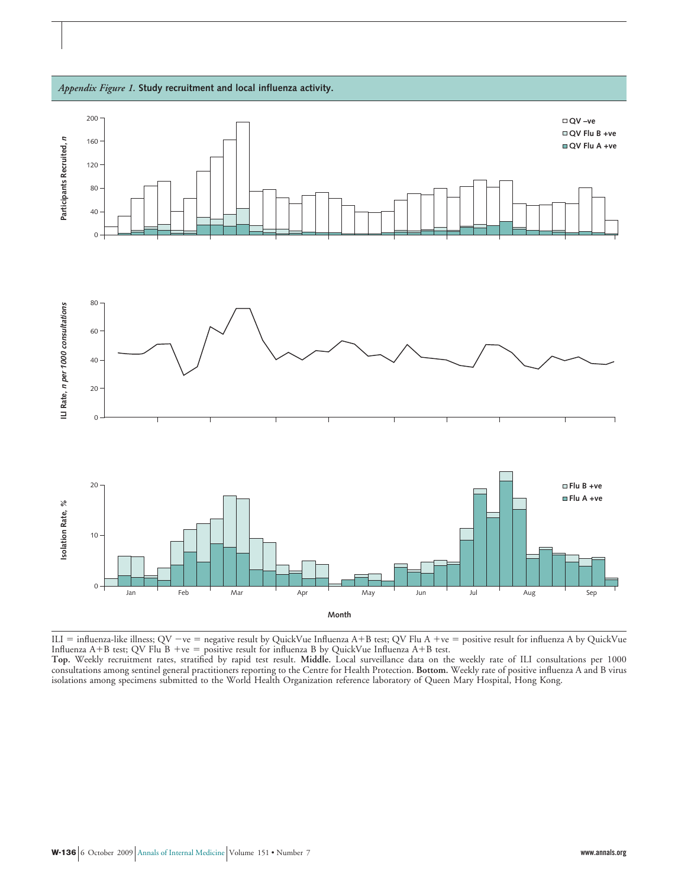

ILI = influenza-like illness; QV –ve = negative result by QuickVue Influenza A+B test; QV Flu A +ve = positive result for influenza A by QuickVue Influenza  $A+B$  test; QV Flu B +ve = positive result for influenza B by QuickVue Influenza  $A+B$  test.

**Top.** Weekly recruitment rates, stratified by rapid test result. **Middle.** Local surveillance data on the weekly rate of ILI consultations per 1000 consultations among sentinel general practitioners reporting to the Centre for Health Protection. **Bottom.** Weekly rate of positive influenza A and B virus isolations among specimens submitted to the World Health Organization reference laboratory of Queen Mary Hospital, Hong Kong.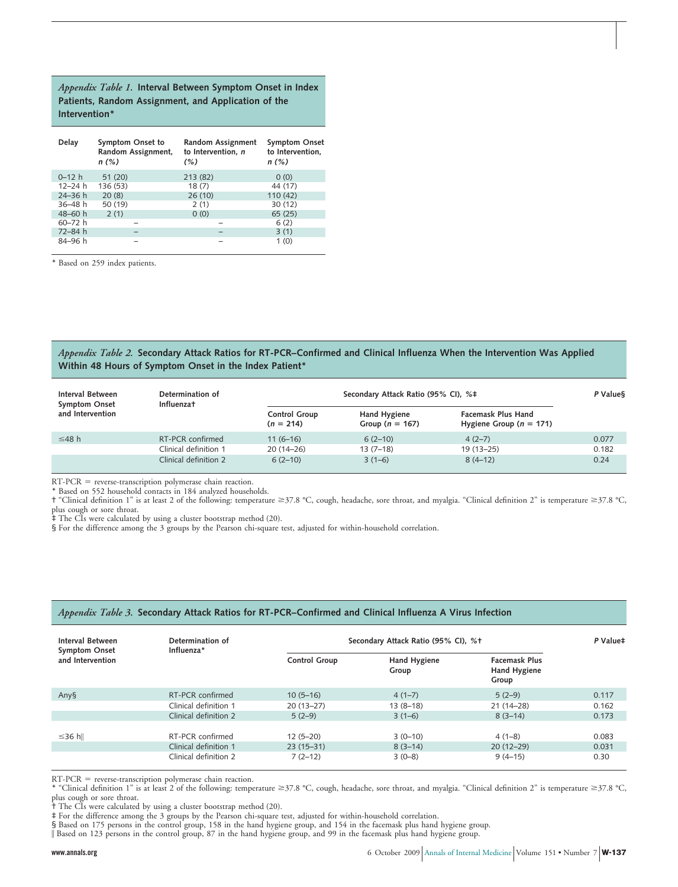*Appendix Table 1.* **Interval Between Symptom Onset in Index Patients, Random Assignment, and Application of the Intervention\***

| Delay       | Symptom Onset to<br>Random Assignment,<br>n(%) | Random Assignment<br>to Intervention, n<br>(%) | <b>Symptom Onset</b><br>to Intervention.<br>n(%) |
|-------------|------------------------------------------------|------------------------------------------------|--------------------------------------------------|
| $0 - 12 h$  | 51(20)                                         | 213 (82)                                       | 0(0)                                             |
| $12 - 24 h$ | 136 (53)                                       | 18(7)                                          | 44 (17)                                          |
| $24 - 36 h$ | 20(8)                                          | 26(10)                                         | 110(42)                                          |
| $36 - 48 h$ | 50(19)                                         | 2(1)                                           | 30(12)                                           |
| $48 - 60 h$ | 2(1)                                           | 0(0)                                           | 65(25)                                           |
| $60 - 72 h$ |                                                |                                                | 6(2)                                             |
| 72-84 h     |                                                |                                                | 3(1)                                             |
| 84-96 h     |                                                |                                                | 1(0)                                             |

\* Based on 259 index patients.

#### *Appendix Table 2.* **Secondary Attack Ratios for RT-PCR–Confirmed and Clinical Influenza When the Intervention Was Applied Within 48 Hours of Symptom Onset in the Index Patient\***

| Interval Between<br>Symptom Onset | Determination of<br><b>Influenzat</b> |                                     | P Value§                            |                                                          |       |
|-----------------------------------|---------------------------------------|-------------------------------------|-------------------------------------|----------------------------------------------------------|-------|
| and Intervention                  |                                       | <b>Control Group</b><br>$(n = 214)$ | Hand Hygiene<br>Group ( $n = 167$ ) | <b>Facemask Plus Hand</b><br>Hygiene Group ( $n = 171$ ) |       |
| ≤48 h                             | RT-PCR confirmed                      | $11(6-16)$                          | $6(2-10)$                           | $4(2-7)$                                                 | 0.077 |
|                                   | Clinical definition 1                 | $20(14-26)$                         | $13(7-18)$                          | 19 (13-25)                                               | 0.182 |
|                                   | Clinical definition 2                 | $6(2-10)$                           | $3(1-6)$                            | $8(4-12)$                                                | 0.24  |

RT-PCR = reverse-transcription polymerase chain reaction.

\* Based on 552 household contacts in 184 analyzed households.

† "Clinical definition 1" is at least 2 of the following: temperature 37.8 °C, cough, headache, sore throat, and myalgia. "Clinical definition 2" is temperature 37.8 °C, plus cough or sore throat. ‡ The CIs were calculated by using a cluster bootstrap method (20).

§ For the difference among the 3 groups by the Pearson chi-square test, adjusted for within-household correlation.

#### *Appendix Table 3.* **Secondary Attack Ratios for RT-PCR–Confirmed and Clinical Influenza A Virus Infection**

| <b>Interval Between</b><br><b>Symptom Onset</b> | Determination of<br>Influenza* | Secondary Attack Ratio (95% CI), %t |                       |                                               |       |  |
|-------------------------------------------------|--------------------------------|-------------------------------------|-----------------------|-----------------------------------------------|-------|--|
| and Intervention                                |                                | Control Group                       | Hand Hygiene<br>Group | <b>Facemask Plus</b><br>Hand Hygiene<br>Group |       |  |
| Any§                                            | RT-PCR confirmed               | $10(5-16)$                          | $4(1-7)$              | $5(2-9)$                                      | 0.117 |  |
|                                                 | Clinical definition 1          | $20(13-27)$                         | $13(8-18)$            | $21(14-28)$                                   | 0.162 |  |
|                                                 | Clinical definition 2          | $5(2-9)$                            | $3(1-6)$              | $8(3-14)$                                     | 0.173 |  |
|                                                 |                                |                                     |                       |                                               |       |  |
| $\leq$ 36 h                                     | RT-PCR confirmed               | $12(5-20)$                          | $3(0-10)$             | $4(1-8)$                                      | 0.083 |  |
|                                                 | Clinical definition 1          | $23(15-31)$                         | $8(3-14)$             | $20(12-29)$                                   | 0.031 |  |
|                                                 | Clinical definition 2          | $7(2-12)$                           | $3(0-8)$              | $9(4-15)$                                     | 0.30  |  |

RT-PCR = reverse-transcription polymerase chain reaction.

\* "Clinical definition 1" is at least 2 of the following: temperature 37.8 °C, cough, headache, sore throat, and myalgia. "Clinical definition 2" is temperature 37.8 °C, plus cough or sore throat.

† The CIs were calculated by using a cluster bootstrap method (20).

‡ For the difference among the 3 groups by the Pearson chi-square test, adjusted for within-household correlation.

§ Based on 175 persons in the control group, 158 in the hand hygiene group, and 154 in the facemask plus hand hygiene group.

Based on 123 persons in the control group, 87 in the hand hygiene group, and 99 in the facemask plus hand hygiene group.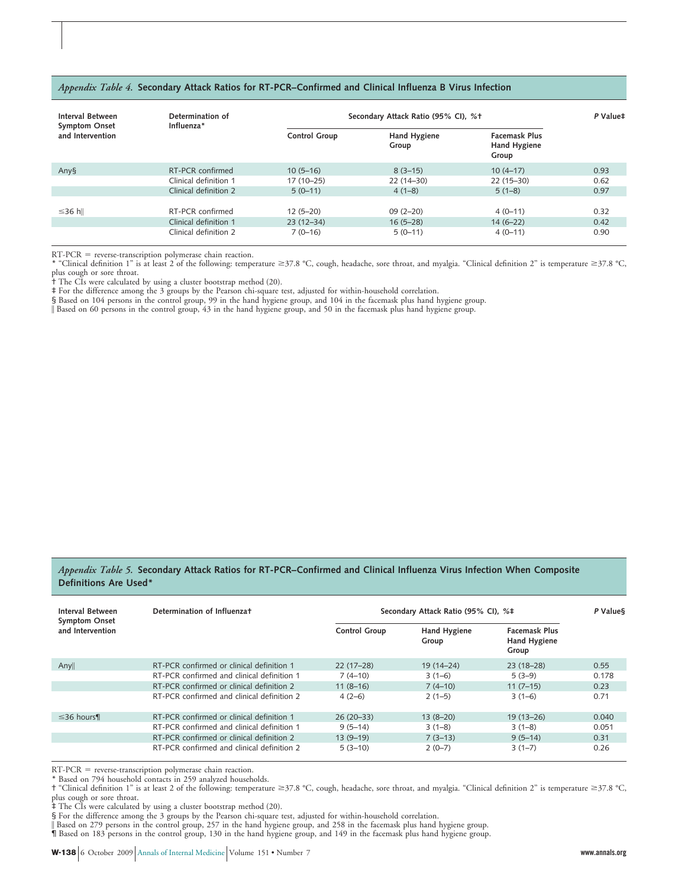#### *Appendix Table 4.* **Secondary Attack Ratios for RT-PCR–Confirmed and Clinical Influenza B Virus Infection**

| <b>Interval Between</b><br><b>Symptom Onset</b> | Determination of<br>Influenza* |                      | Secondary Attack Ratio (95% CI), %t |                                               | P Value‡ |
|-------------------------------------------------|--------------------------------|----------------------|-------------------------------------|-----------------------------------------------|----------|
| and Intervention                                |                                | <b>Control Group</b> | Hand Hygiene<br>Group               | <b>Facemask Plus</b><br>Hand Hygiene<br>Group |          |
| Any§                                            | RT-PCR confirmed               | $10(5-16)$           | $8(3-15)$                           | $10(4-17)$                                    | 0.93     |
|                                                 | Clinical definition 1          | $17(10-25)$          | $22(14-30)$                         | 22 (15-30)                                    | 0.62     |
|                                                 | Clinical definition 2          | $5(0-11)$            | $4(1-8)$                            | $5(1-8)$                                      | 0.97     |
|                                                 |                                |                      |                                     |                                               |          |
| $\leq$ 36 h                                     | RT-PCR confirmed               | $12(5-20)$           | $09(2 - 20)$                        | $4(0-11)$                                     | 0.32     |
|                                                 | Clinical definition 1          | $23(12-34)$          | $16(5-28)$                          | $14(6-22)$                                    | 0.42     |
|                                                 | Clinical definition 2          | $7(0-16)$            | $5(0-11)$                           | $4(0-11)$                                     | 0.90     |

RT-PCR = reverse-transcription polymerase chain reaction.

\* "Clinical definition 1" is at least 2 of the following: temperature  $\geq$ 37.8 °C, cough, headache, sore throat, and myalgia. "Clinical definition 2" is temperature  $\geq$ 37.8 °C, plus cough or sore throat. † The CIs were calculated by using a cluster bootstrap method (20).

‡ For the difference among the 3 groups by the Pearson chi-square test, adjusted for within-household correlation.

§ Based on 104 persons in the control group, 99 in the hand hygiene group, and 104 in the facemask plus hand hygiene group.

Based on 60 persons in the control group, 43 in the hand hygiene group, and 50 in the facemask plus hand hygiene group.

#### *Appendix Table 5.* **Secondary Attack Ratios for RT-PCR–Confirmed and Clinical Influenza Virus Infection When Composite Definitions Are Used\***

| <b>Interval Between</b><br>Symptom Onset | Determination of Influenzat                | Secondary Attack Ratio (95% CI), %‡ | P Values                     |                                               |       |
|------------------------------------------|--------------------------------------------|-------------------------------------|------------------------------|-----------------------------------------------|-------|
| and Intervention                         |                                            | <b>Control Group</b>                | <b>Hand Hygiene</b><br>Group | <b>Facemask Plus</b><br>Hand Hygiene<br>Group |       |
| Any                                      | RT-PCR confirmed or clinical definition 1  | $22(17-28)$                         | $19(14 - 24)$                | $23(18-28)$                                   | 0.55  |
|                                          | RT-PCR confirmed and clinical definition 1 | $7(4-10)$                           | $3(1-6)$                     | $5(3-9)$                                      | 0.178 |
|                                          | RT-PCR confirmed or clinical definition 2  | $11(8-16)$                          | $7(4-10)$                    | $11(7-15)$                                    | 0.23  |
|                                          | RT-PCR confirmed and clinical definition 2 | $4(2-6)$                            | $2(1-5)$                     | $3(1-6)$                                      | 0.71  |
| $\leq$ 36 hours¶                         | RT-PCR confirmed or clinical definition 1  | $26(20-33)$                         | $13(8-20)$                   | $19(13 - 26)$                                 | 0.040 |
|                                          | RT-PCR confirmed and clinical definition 1 | $9(5-14)$                           | $3(1-8)$                     | $3(1-8)$                                      | 0.051 |
|                                          | RT-PCR confirmed or clinical definition 2  | $13(9-19)$                          | $7(3-13)$                    | $9(5-14)$                                     | 0.31  |
|                                          | RT-PCR confirmed and clinical definition 2 | $5(3-10)$                           | $2(0-7)$                     | $3(1-7)$                                      | 0.26  |

RT-PCR = reverse-transcription polymerase chain reaction.

\* Based on 794 household contacts in 259 analyzed households.

† "Clinical definition 1" is at least 2 of the following: temperature 37.8 °C, cough, headache, sore throat, and myalgia. "Clinical definition 2" is temperature 37.8 °C, plus cough or sore throat.

‡ The CIs were calculated by using a cluster bootstrap method (20).

§ For the difference among the 3 groups by the Pearson chi-square test, adjusted for within-household correlation.<br>∥ Based on 279 persons in the control group, 257 in the hand hygiene group, and 258 in the facemask plus ha

¶ Based on 183 persons in the control group, 130 in the hand hygiene group, and 149 in the facemask plus hand hygiene group.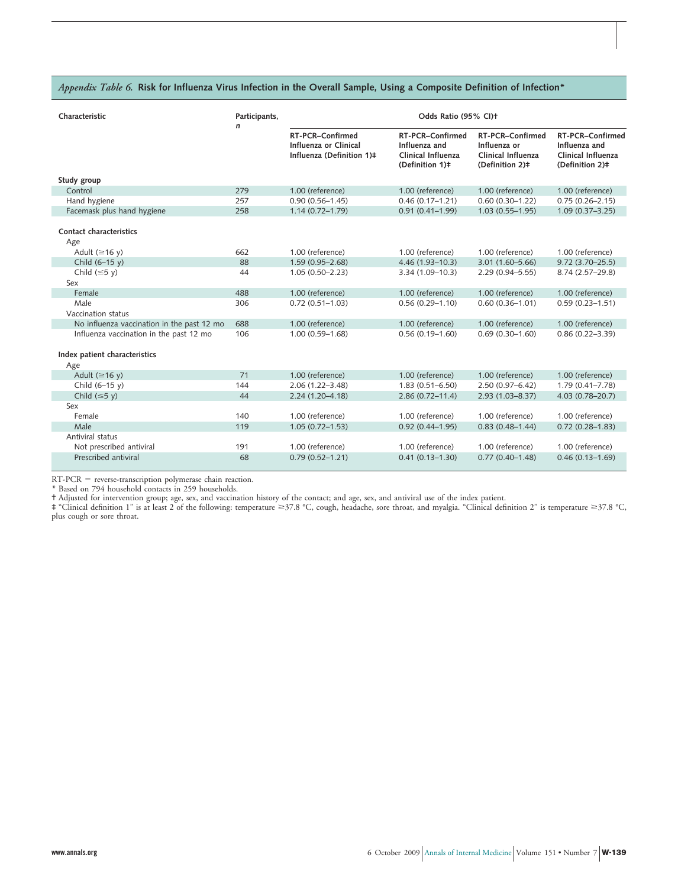#### *Appendix Table 6.* **Risk for Influenza Virus Infection in the Overall Sample, Using a Composite Definition of Infection\***

| Characteristic                             | Participants,<br>n | Odds Ratio (95% CI)t                                                          |                                                                            |                                                                           |                                                                            |  |
|--------------------------------------------|--------------------|-------------------------------------------------------------------------------|----------------------------------------------------------------------------|---------------------------------------------------------------------------|----------------------------------------------------------------------------|--|
|                                            |                    | <b>RT-PCR-Confirmed</b><br>Influenza or Clinical<br>Influenza (Definition 1)‡ | RT-PCR-Confirmed<br>Influenza and<br>Clinical Influenza<br>(Definition 1)# | RT-PCR-Confirmed<br>Influenza or<br>Clinical Influenza<br>(Definition 2)‡ | RT-PCR-Confirmed<br>Influenza and<br>Clinical Influenza<br>(Definition 2)‡ |  |
| Study group                                |                    |                                                                               |                                                                            |                                                                           |                                                                            |  |
| Control                                    | 279                | 1.00 (reference)                                                              | 1.00 (reference)                                                           | 1.00 (reference)                                                          | 1.00 (reference)                                                           |  |
| Hand hygiene                               | 257                | $0.90(0.56 - 1.45)$                                                           | $0.46(0.17 - 1.21)$                                                        | $0.60(0.30 - 1.22)$                                                       | $0.75(0.26 - 2.15)$                                                        |  |
| Facemask plus hand hygiene                 | 258                | $1.14(0.72 - 1.79)$                                                           | $0.91(0.41 - 1.99)$                                                        | $1.03(0.55 - 1.95)$                                                       | $1.09(0.37 - 3.25)$                                                        |  |
| Contact characteristics<br>Age             |                    |                                                                               |                                                                            |                                                                           |                                                                            |  |
| Adult $(\geq 16 y)$                        | 662                | 1.00 (reference)                                                              | 1.00 (reference)                                                           | 1.00 (reference)                                                          | 1.00 (reference)                                                           |  |
| Child $(6-15 y)$                           | 88                 | $1.59(0.95 - 2.68)$                                                           | $4.46(1.93 - 10.3)$                                                        | $3.01(1.60 - 5.66)$                                                       | $9.72(3.70 - 25.5)$                                                        |  |
| Child $(\leq 5 y)$<br>Sex                  | 44                 | $1.05(0.50 - 2.23)$                                                           | 3.34 (1.09-10.3)                                                           | $2.29(0.94 - 5.55)$                                                       | 8.74 (2.57-29.8)                                                           |  |
| Female                                     | 488                | 1.00 (reference)                                                              | 1.00 (reference)                                                           | 1.00 (reference)                                                          | 1.00 (reference)                                                           |  |
| Male<br>Vaccination status                 | 306                | $0.72(0.51 - 1.03)$                                                           | $0.56(0.29 - 1.10)$                                                        | $0.60(0.36 - 1.01)$                                                       | $0.59(0.23 - 1.51)$                                                        |  |
| No influenza vaccination in the past 12 mo | 688                | 1.00 (reference)                                                              | 1.00 (reference)                                                           | 1.00 (reference)                                                          | 1.00 (reference)                                                           |  |
| Influenza vaccination in the past 12 mo    | 106                | $1.00(0.59 - 1.68)$                                                           | $0.56(0.19 - 1.60)$                                                        | $0.69(0.30 - 1.60)$                                                       | $0.86(0.22 - 3.39)$                                                        |  |
|                                            |                    |                                                                               |                                                                            |                                                                           |                                                                            |  |
| Index patient characteristics<br>Age       |                    |                                                                               |                                                                            |                                                                           |                                                                            |  |
| Adult $(\geq 16 y)$                        | 71                 | 1.00 (reference)                                                              | 1.00 (reference)                                                           | 1.00 (reference)                                                          | 1.00 (reference)                                                           |  |
| Child (6-15 y)                             | 144                | $2.06(1.22 - 3.48)$                                                           | $1.83(0.51 - 6.50)$                                                        | 2.50 (0.97-6.42)                                                          | 1.79 (0.41-7.78)                                                           |  |
| Child $(\leq 5 y)$                         | 44                 | $2.24(1.20 - 4.18)$                                                           | $2.86(0.72 - 11.4)$                                                        | $2.93(1.03 - 8.37)$                                                       | $4.03(0.78 - 20.7)$                                                        |  |
| Sex                                        |                    |                                                                               |                                                                            |                                                                           |                                                                            |  |
| Female                                     | 140                | 1.00 (reference)                                                              | 1.00 (reference)                                                           | 1.00 (reference)                                                          | 1.00 (reference)                                                           |  |
| Male                                       | 119                | $1.05(0.72 - 1.53)$                                                           | $0.92(0.44 - 1.95)$                                                        | $0.83(0.48 - 1.44)$                                                       | $0.72(0.28 - 1.83)$                                                        |  |
| Antiviral status                           |                    |                                                                               |                                                                            |                                                                           |                                                                            |  |
| Not prescribed antiviral                   | 191                | 1.00 (reference)                                                              | 1.00 (reference)                                                           | 1.00 (reference)                                                          | 1.00 (reference)                                                           |  |
| Prescribed antiviral                       | 68                 | $0.79(0.52 - 1.21)$                                                           | $0.41(0.13 - 1.30)$                                                        | $0.77(0.40-1.48)$                                                         | $0.46(0.13 - 1.69)$                                                        |  |

RT-PCR - reverse-transcription polymerase chain reaction. \* Based on 794 household contacts in 259 households.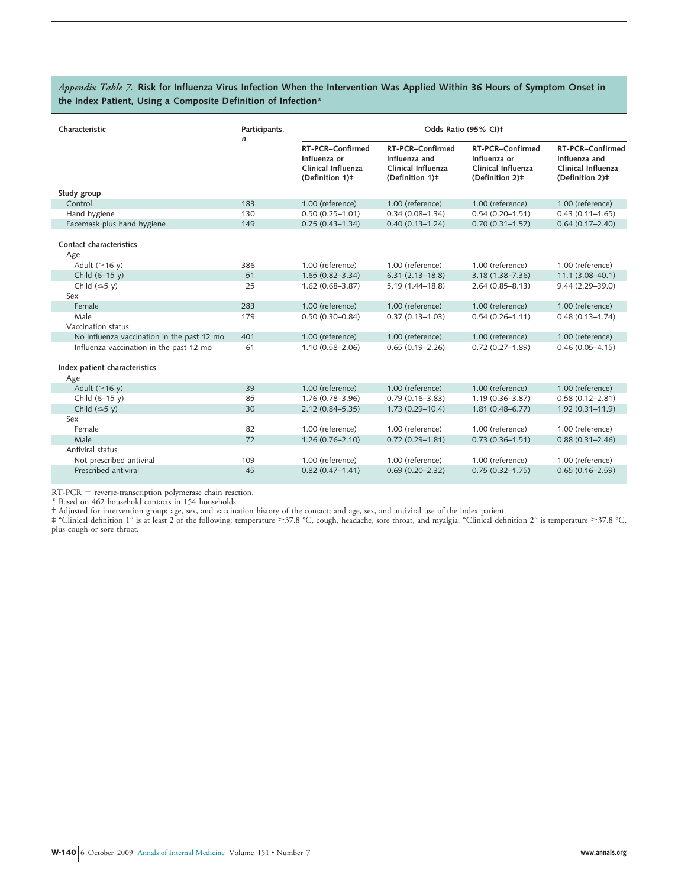*Appendix Table 7.* **Risk for Influenza Virus Infection When the Intervention Was Applied Within 36 Hours of Symptom Onset in the Index Patient, Using a Composite Definition of Infection\***

| Characteristic                             | Participants,<br>$\mathsf{n}$ | Odds Ratio (95% CI)+                                                      |                                                                                   |                                                                           |                                                                                   |  |
|--------------------------------------------|-------------------------------|---------------------------------------------------------------------------|-----------------------------------------------------------------------------------|---------------------------------------------------------------------------|-----------------------------------------------------------------------------------|--|
|                                            |                               | RT-PCR-Confirmed<br>Influenza or<br>Clinical Influenza<br>(Definition 1)# | <b>RT-PCR-Confirmed</b><br>Influenza and<br>Clinical Influenza<br>(Definition 1)# | RT-PCR-Confirmed<br>Influenza or<br>Clinical Influenza<br>(Definition 2)‡ | <b>RT-PCR-Confirmed</b><br>Influenza and<br>Clinical Influenza<br>(Definition 2)# |  |
| Study group                                |                               |                                                                           |                                                                                   |                                                                           |                                                                                   |  |
| Control                                    | 183                           | 1.00 (reference)                                                          | 1.00 (reference)                                                                  | 1.00 (reference)                                                          | 1.00 (reference)                                                                  |  |
| Hand hygiene                               | 130                           | $0.50(0.25 - 1.01)$                                                       | $0.34(0.08 - 1.34)$                                                               | $0.54(0.20 - 1.51)$                                                       | $0.43(0.11 - 1.65)$                                                               |  |
| Facemask plus hand hygiene                 | 149                           | $0.75(0.43 - 1.34)$                                                       | $0.40(0.13 - 1.24)$                                                               | $0.70(0.31 - 1.57)$                                                       | $0.64(0.17 - 2.40)$                                                               |  |
| <b>Contact characteristics</b><br>Age      |                               |                                                                           |                                                                                   |                                                                           |                                                                                   |  |
| Adult $(\geq 16 y)$                        | 386                           | 1.00 (reference)                                                          | 1.00 (reference)                                                                  | 1.00 (reference)                                                          | 1.00 (reference)                                                                  |  |
| Child $(6-15 y)$                           | 51                            | $1.65(0.82 - 3.34)$                                                       | $6.31(2.13 - 18.8)$                                                               | $3.18(1.38 - 7.36)$                                                       | $11.1(3.08 - 40.1)$                                                               |  |
| Child $(\leq 5 y)$                         | 25                            | $1.62(0.68 - 3.87)$                                                       | 5.19 (1.44-18.8)                                                                  | $2.64(0.85 - 8.13)$                                                       | $9.44(2.29 - 39.0)$                                                               |  |
| Sex                                        |                               |                                                                           |                                                                                   |                                                                           |                                                                                   |  |
| Female                                     | 283                           | 1.00 (reference)                                                          | 1.00 (reference)                                                                  | 1.00 (reference)                                                          | 1.00 (reference)                                                                  |  |
| Male                                       | 179                           | $0.50(0.30 - 0.84)$                                                       | $0.37(0.13 - 1.03)$                                                               | $0.54(0.26 - 1.11)$                                                       | $0.48(0.13 - 1.74)$                                                               |  |
| Vaccination status                         |                               |                                                                           |                                                                                   |                                                                           |                                                                                   |  |
| No influenza vaccination in the past 12 mo | 401                           | 1.00 (reference)                                                          | 1.00 (reference)                                                                  | 1.00 (reference)                                                          | 1.00 (reference)                                                                  |  |
| Influenza vaccination in the past 12 mo    | 61                            | $1.10(0.58 - 2.06)$                                                       | $0.65(0.19 - 2.26)$                                                               | $0.72(0.27 - 1.89)$                                                       | $0.46(0.05 - 4.15)$                                                               |  |
| Index patient characteristics<br>Age       |                               |                                                                           |                                                                                   |                                                                           |                                                                                   |  |
| Adult $(\geq 16 y)$                        | 39                            | 1.00 (reference)                                                          | 1.00 (reference)                                                                  | 1.00 (reference)                                                          | 1.00 (reference)                                                                  |  |
| Child (6-15 y)                             | 85                            | 1.76 (0.78-3.96)                                                          | $0.79(0.16 - 3.83)$                                                               | $1.19(0.36 - 3.87)$                                                       | $0.58(0.12 - 2.81)$                                                               |  |
| Child $(\leq 5 y)$                         | 30                            | $2.12(0.84 - 5.35)$                                                       | $1.73(0.29 - 10.4)$                                                               | $1.81(0.48 - 6.77)$                                                       | $1.92(0.31 - 11.9)$                                                               |  |
| Sex                                        |                               |                                                                           |                                                                                   |                                                                           |                                                                                   |  |
| Female                                     | 82                            | 1.00 (reference)                                                          | 1.00 (reference)                                                                  | 1.00 (reference)                                                          | 1.00 (reference)                                                                  |  |
| Male                                       | 72                            | $1.26(0.76 - 2.10)$                                                       | $0.72(0.29 - 1.81)$                                                               | $0.73(0.36 - 1.51)$                                                       | $0.88(0.31 - 2.46)$                                                               |  |
| Antiviral status                           |                               |                                                                           |                                                                                   |                                                                           |                                                                                   |  |
| Not prescribed antiviral                   | 109                           | 1.00 (reference)                                                          | 1.00 (reference)                                                                  | 1.00 (reference)                                                          | 1.00 (reference)                                                                  |  |
| Prescribed antiviral                       | 45                            | $0.82(0.47 - 1.41)$                                                       | $0.69(0.20 - 2.32)$                                                               | $0.75(0.32 - 1.75)$                                                       | $0.65(0.16 - 2.59)$                                                               |  |

RT-PCR - reverse-transcription polymerase chain reaction. \* Based on 462 household contacts in 154 households.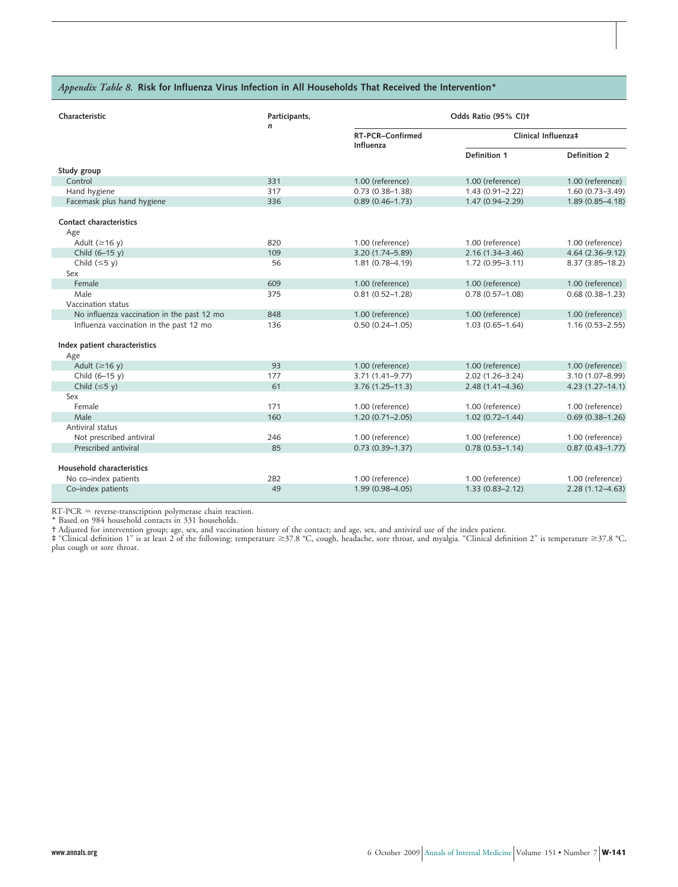## *Appendix Table 8.* **Risk for Influenza Virus Infection in All Households That Received the Intervention\***

| Characteristic                             | Participants,<br>n | Odds Ratio (95% CI)+          |                     |                     |  |
|--------------------------------------------|--------------------|-------------------------------|---------------------|---------------------|--|
|                                            |                    | RT-PCR-Confirmed<br>Influenza | Clinical Influenza‡ |                     |  |
|                                            |                    |                               | Definition 1        | Definition 2        |  |
| Study group                                |                    |                               |                     |                     |  |
| Control                                    | 331                | 1.00 (reference)              | 1.00 (reference)    | 1.00 (reference)    |  |
| Hand hygiene                               | 317                | $0.73(0.38 - 1.38)$           | $1.43(0.91 - 2.22)$ | $1.60(0.73 - 3.49)$ |  |
| Facemask plus hand hygiene                 | 336                | $0.89(0.46 - 1.73)$           | 1.47 (0.94-2.29)    | $1.89(0.85 - 4.18)$ |  |
| <b>Contact characteristics</b><br>Age      |                    |                               |                     |                     |  |
| Adult $(\geq 16 y)$                        | 820                | 1.00 (reference)              | 1.00 (reference)    | 1.00 (reference)    |  |
| Child (6-15 y)                             | 109                | 3.20 (1.74-5.89)              | $2.16(1.34 - 3.46)$ | $4.64(2.36 - 9.12)$ |  |
| Child $(\leq 5 y)$                         | 56                 | 1.81 (0.78-4.19)              | $1.72(0.95 - 3.11)$ | 8.37 (3.85-18.2)    |  |
| Sex                                        |                    |                               |                     |                     |  |
| Female                                     | 609                | 1.00 (reference)              | 1.00 (reference)    | 1.00 (reference)    |  |
| Male                                       | 375                | $0.81(0.52 - 1.28)$           | $0.78(0.57 - 1.08)$ | $0.68(0.38 - 1.23)$ |  |
| Vaccination status                         |                    |                               |                     |                     |  |
| No influenza vaccination in the past 12 mo | 848                | 1.00 (reference)              | 1.00 (reference)    | 1.00 (reference)    |  |
| Influenza vaccination in the past 12 mo    | 136                | $0.50(0.24 - 1.05)$           | $1.03(0.65 - 1.64)$ | $1.16(0.53 - 2.55)$ |  |
| Index patient characteristics<br>Age       |                    |                               |                     |                     |  |
| Adult $(\geq 16 y)$                        | 93                 | 1.00 (reference)              | 1.00 (reference)    | 1.00 (reference)    |  |
| Child (6-15 y)                             | 177                | 3.71 (1.41-9.77)              | $2.02(1.26 - 3.24)$ | 3.10 (1.07-8.99)    |  |
| Child $(\leq 5 y)$                         | 61                 | $3.76(1.25 - 11.3)$           | $2.48(1.41 - 4.36)$ | $4.23(1.27 - 14.1)$ |  |
| Sex                                        |                    |                               |                     |                     |  |
| Female                                     | 171                | 1.00 (reference)              | 1.00 (reference)    | 1.00 (reference)    |  |
| Male                                       | 160                | $1.20(0.71 - 2.05)$           | $1.02(0.72 - 1.44)$ | $0.69(0.38 - 1.26)$ |  |
| Antiviral status                           |                    |                               |                     |                     |  |
| Not prescribed antiviral                   | 246                | 1.00 (reference)              | 1.00 (reference)    | 1.00 (reference)    |  |
| Prescribed antiviral                       | 85                 | $0.73(0.39 - 1.37)$           | $0.78(0.53 - 1.14)$ | $0.87(0.43 - 1.77)$ |  |
| Household characteristics                  |                    |                               |                     |                     |  |
| No co-index patients                       | 282                | 1.00 (reference)              | 1.00 (reference)    | 1.00 (reference)    |  |
| Co-index patients                          | 49                 | 1.99 (0.98-4.05)              | $1.33(0.83 - 2.12)$ | $2.28(1.12 - 4.63)$ |  |

RT-PCR - reverse-transcription polymerase chain reaction. \* Based on 984 household contacts in 331 households.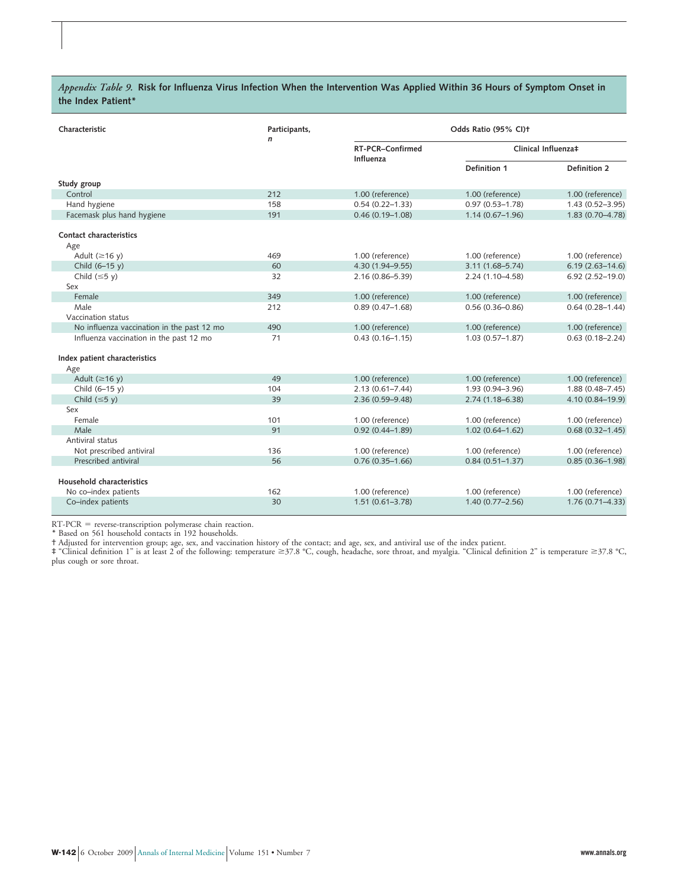#### *Appendix Table 9.* **Risk for Influenza Virus Infection When the Intervention Was Applied Within 36 Hours of Symptom Onset in the Index Patient\***

| Characteristic                             | Participants, | Odds Ratio (95% CI) <sup>+</sup> |                     |                     |  |
|--------------------------------------------|---------------|----------------------------------|---------------------|---------------------|--|
|                                            | $\mathsf{n}$  | RT-PCR-Confirmed<br>Influenza    | Clinical Influenza‡ |                     |  |
|                                            |               |                                  | Definition 1        | Definition 2        |  |
| Study group                                |               |                                  |                     |                     |  |
| Control                                    | 212           | 1.00 (reference)                 | 1.00 (reference)    | 1.00 (reference)    |  |
| Hand hygiene                               | 158           | $0.54(0.22 - 1.33)$              | $0.97(0.53 - 1.78)$ | $1.43(0.52 - 3.95)$ |  |
| Facemask plus hand hygiene                 | 191           | $0.46(0.19 - 1.08)$              | $1.14(0.67 - 1.96)$ | $1.83(0.70 - 4.78)$ |  |
| Contact characteristics<br>Age             |               |                                  |                     |                     |  |
| Adult $(\geq 16 y)$                        | 469           | 1.00 (reference)                 | 1.00 (reference)    | 1.00 (reference)    |  |
| Child $(6-15 y)$                           | 60            | 4.30 (1.94-9.55)                 | $3.11(1.68 - 5.74)$ | $6.19(2.63 - 14.6)$ |  |
| Child $(\leq 5 y)$                         | 32            | $2.16(0.86 - 5.39)$              | 2.24 (1.10-4.58)    | $6.92(2.52 - 19.0)$ |  |
| Sex                                        |               |                                  |                     |                     |  |
| Female                                     | 349           | 1.00 (reference)                 | 1.00 (reference)    | 1.00 (reference)    |  |
| Male                                       | 212           | $0.89(0.47 - 1.68)$              | $0.56(0.36 - 0.86)$ | $0.64(0.28 - 1.44)$ |  |
| Vaccination status                         |               |                                  |                     |                     |  |
| No influenza vaccination in the past 12 mo | 490           | 1.00 (reference)                 | 1.00 (reference)    | 1.00 (reference)    |  |
| Influenza vaccination in the past 12 mo    | 71            | $0.43(0.16 - 1.15)$              | $1.03(0.57 - 1.87)$ | $0.63(0.18 - 2.24)$ |  |
| Index patient characteristics<br>Age       |               |                                  |                     |                     |  |
| Adult $(\geq 16 y)$                        | 49            | 1.00 (reference)                 | 1.00 (reference)    | 1.00 (reference)    |  |
| Child (6-15 y)                             | 104           | $2.13(0.61 - 7.44)$              | 1.93 (0.94-3.96)    | $1.88(0.48 - 7.45)$ |  |
| Child $(\leq 5 y)$                         | 39            | $2.36(0.59 - 9.48)$              | $2.74(1.18 - 6.38)$ | 4.10 (0.84-19.9)    |  |
| Sex                                        |               |                                  |                     |                     |  |
| Female                                     | 101           | 1.00 (reference)                 | 1.00 (reference)    | 1.00 (reference)    |  |
| Male                                       | 91            | $0.92(0.44 - 1.89)$              | $1.02(0.64 - 1.62)$ | $0.68(0.32 - 1.45)$ |  |
| Antiviral status                           |               |                                  |                     |                     |  |
| Not prescribed antiviral                   | 136           | 1.00 (reference)                 | 1.00 (reference)    | 1.00 (reference)    |  |
| Prescribed antiviral                       | 56            | $0.76(0.35 - 1.66)$              | $0.84(0.51 - 1.37)$ | $0.85(0.36 - 1.98)$ |  |
| Household characteristics                  |               |                                  |                     |                     |  |
| No co-index patients                       | 162           | 1.00 (reference)                 | 1.00 (reference)    | 1.00 (reference)    |  |
| Co-index patients                          | 30            | $1.51(0.61 - 3.78)$              | $1.40(0.77 - 2.56)$ | $1.76(0.71 - 4.33)$ |  |

RT-PCR - reverse-transcription polymerase chain reaction. \* Based on 561 household contacts in 192 households.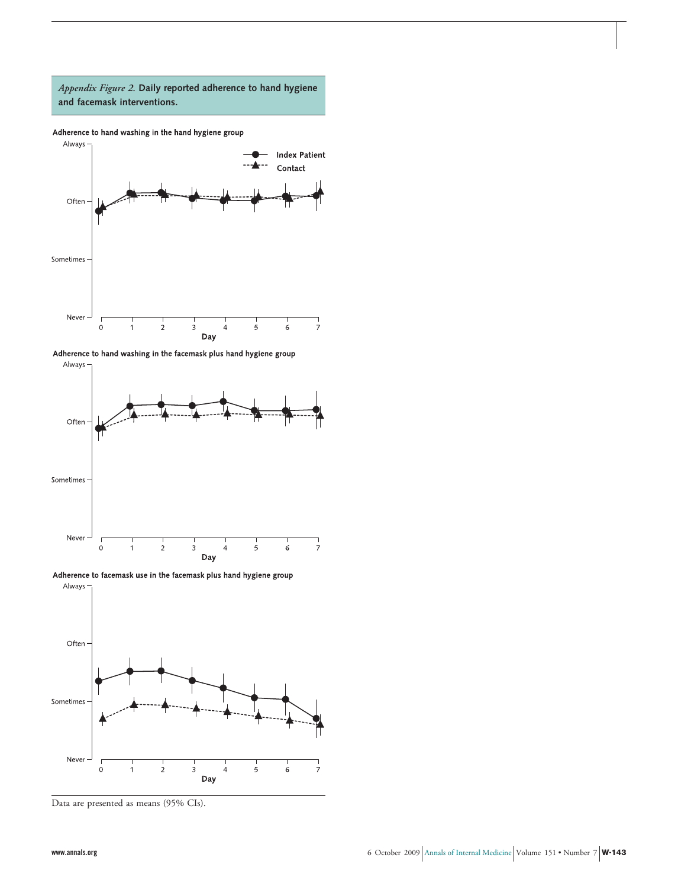

Adherence to hand washing in the hand hygiene group



Adherence to hand washing in the facemask plus hand hygiene group



Adherence to facemask use in the facemask plus hand hygiene group



Data are presented as means (95% CIs).